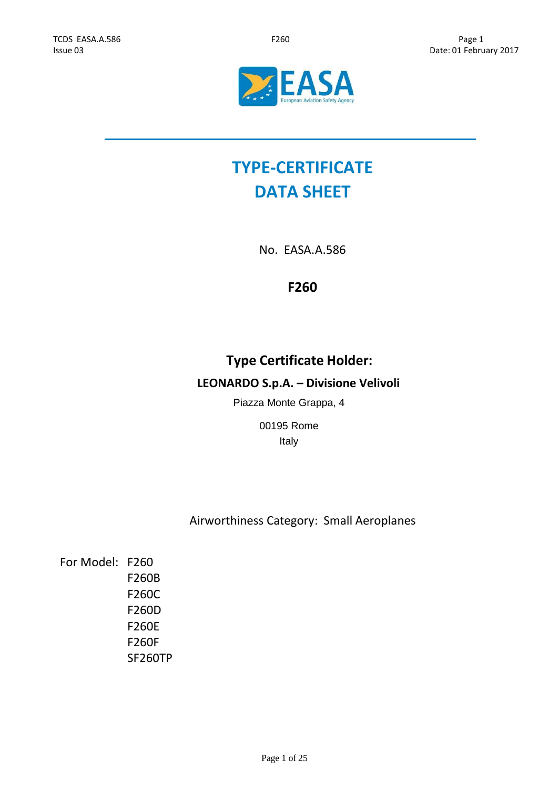

# **TYPE-CERTIFICATE DATA SHEET**

No. EASA.A.586

# **F260**

# **Type Certificate Holder:**

# **LEONARDO S.p.A. – Divisione Velivoli**

Piazza Monte Grappa, 4

00195 Rome Italy

# Airworthiness Category: Small Aeroplanes

For Model: F260 F260B F260C F260D F260E F260F SF260TP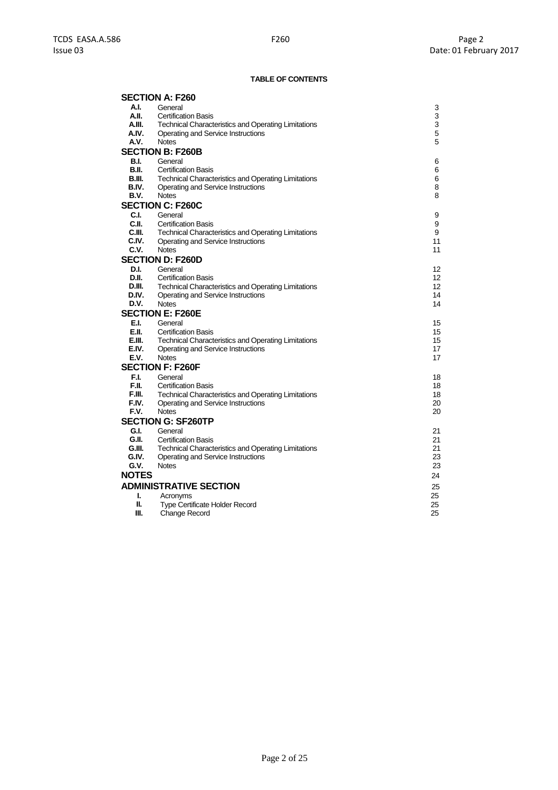# **TABLE OF CONTENTS**

|              | <b>SECTION A: F260</b>                                     |    |
|--------------|------------------------------------------------------------|----|
| A.I.         | General                                                    | 3  |
| A.II.        | <b>Certification Basis</b>                                 | 3  |
| A.III.       | <b>Technical Characteristics and Operating Limitations</b> | 3  |
| A.IV.        | Operating and Service Instructions                         | 5  |
| A.V.         | <b>Notes</b>                                               | 5  |
|              | <b>SECTION B: F260B</b>                                    |    |
| <b>B.I.</b>  | General                                                    | 6  |
| B.II.        | <b>Certification Basis</b>                                 | 6  |
| B.III.       | <b>Technical Characteristics and Operating Limitations</b> | 6  |
| B.IV.        | Operating and Service Instructions                         | 8  |
| B.V.         | <b>Notes</b>                                               | 8  |
|              | <b>SECTION C: F260C</b>                                    |    |
| C.I.         | General                                                    | 9  |
| C.II.        | <b>Certification Basis</b>                                 | 9  |
| C.III.       | <b>Technical Characteristics and Operating Limitations</b> | 9  |
| C.IV.        | Operating and Service Instructions                         | 11 |
| C.V.         | <b>Notes</b>                                               | 11 |
|              | <b>SECTION D: F260D</b>                                    |    |
| D.I.         | General                                                    | 12 |
| D.II.        | <b>Certification Basis</b>                                 | 12 |
| D.III.       | Technical Characteristics and Operating Limitations        | 12 |
| D.IV.        | Operating and Service Instructions                         | 14 |
| D.V.         | <b>Notes</b>                                               | 14 |
|              | <b>SECTION E: F260E</b>                                    |    |
| E.I.         | General                                                    | 15 |
| E.II.        | <b>Certification Basis</b>                                 | 15 |
| E.III.       | <b>Technical Characteristics and Operating Limitations</b> | 15 |
| E.IV.        | Operating and Service Instructions                         | 17 |
| E.V.         | <b>Notes</b>                                               | 17 |
|              | <b>SECTION F: F260F</b>                                    |    |
| F.I.         | General                                                    | 18 |
| F.II.        | <b>Certification Basis</b>                                 | 18 |
| F.III.       | <b>Technical Characteristics and Operating Limitations</b> | 18 |
| F.IV.        | Operating and Service Instructions                         | 20 |
| F.V.         | <b>Notes</b>                                               | 20 |
|              | <b>SECTION G: SF260TP</b>                                  |    |
| G.I.         | General                                                    | 21 |
| G.II.        | <b>Certification Basis</b>                                 | 21 |
| G.III.       | <b>Technical Characteristics and Operating Limitations</b> | 21 |
| G.IV.        | Operating and Service Instructions                         | 23 |
| G.V.         | <b>Notes</b>                                               | 23 |
| <b>NOTES</b> |                                                            | 24 |
|              | <b>ADMINISTRATIVE SECTION</b>                              | 25 |
| ı.           | Acronyms                                                   | 25 |
| Ш.           | Type Certificate Holder Record                             | 25 |
| Ш.           | Change Record                                              | 25 |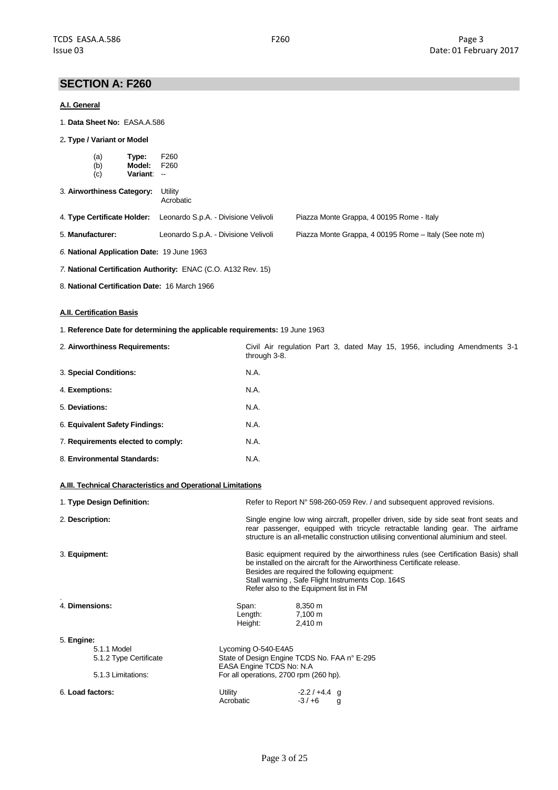# **SECTION A: F260**

### **A.I. General**

- 1. **Data Sheet No:** EASA.A.586
- 2**. Type / Variant or Model**

| (a) | Type:           | F <sub>260</sub> |
|-----|-----------------|------------------|
| (b) | Model:          | F <sub>260</sub> |
| (c) | <b>Variant:</b> | --               |

| 3. Airworthiness Category: | Utility |  |
|----------------------------|---------|--|
|                            |         |  |

| Acrobatic |
|-----------|
|           |

| 4. Type Certificate Holder: Leonardo S.p.A. - Divisione Velivoli | Piazza Monte Grappa, 4 00195 Rome - Italy |
|------------------------------------------------------------------|-------------------------------------------|
|                                                                  |                                           |

5. **Manufacturer:** Leonardo S.p.A. - Divisione Velivoli Piazza Monte Grappa, 4 00195 Rome – Italy (See note m)

*6.* **National Application Date:** 19 June 1963

*7.* **National Certification Authority:** ENAC (C.O. A132 Rev. 15)

8. **National Certification Date:** 16 March 1966

# **A.II. Certification Basis**

1. **Reference Date for determining the applicable requirements:** 19 June 1963

| 2. Airworthiness Requirements:     | Civil Air regulation Part 3, dated May 15, 1956, including Amendments 3-1<br>through 3-8. |
|------------------------------------|-------------------------------------------------------------------------------------------|
| 3. Special Conditions:             | N.A.                                                                                      |
| 4. Exemptions:                     | N.A.                                                                                      |
| 5. Deviations:                     | N.A.                                                                                      |
| 6. Equivalent Safety Findings:     | N.A.                                                                                      |
| 7. Requirements elected to comply: | N.A.                                                                                      |
| 8. Environmental Standards:        | N.A.                                                                                      |

# **A.III. Technical Characteristics and Operational Limitations**

| 1. Type Design Definition: |                                        | Refer to Report N° 598-260-059 Rev. / and subsequent approved revisions.                                                                                                                                                                                                                                      |  |  |
|----------------------------|----------------------------------------|---------------------------------------------------------------------------------------------------------------------------------------------------------------------------------------------------------------------------------------------------------------------------------------------------------------|--|--|
| 2. Description:            |                                        | Single engine low wing aircraft, propeller driven, side by side seat front seats and<br>rear passenger, equipped with tricycle retractable landing gear. The airframe<br>structure is an all-metallic construction utilising conventional aluminium and steel.                                                |  |  |
| 3. Equipment:              |                                        | Basic equipment required by the airworthiness rules (see Certification Basis) shall<br>be installed on the aircraft for the Airworthiness Certificate release.<br>Besides are required the following equipment:<br>Stall warning, Safe Flight Instruments Cop. 164S<br>Refer also to the Equipment list in FM |  |  |
| 4. Dimensions:             | Span:<br>Length:<br>Height:            | 8,350 m<br>7,100 m<br>$2,410 \text{ m}$                                                                                                                                                                                                                                                                       |  |  |
| 5. Engine:<br>5.1.1 Model  | Lycoming O-540-E4A5                    |                                                                                                                                                                                                                                                                                                               |  |  |
| 5.1.2 Type Certificate     |                                        | State of Design Engine TCDS No. FAA n° E-295<br>EASA Engine TCDS No: N.A.                                                                                                                                                                                                                                     |  |  |
| 5.1.3 Limitations:         | For all operations, 2700 rpm (260 hp). |                                                                                                                                                                                                                                                                                                               |  |  |
| 6. Load factors:           | Utility<br>Acrobatic                   | $-2.2/+4.4$ q<br>$-3/+6$<br>g                                                                                                                                                                                                                                                                                 |  |  |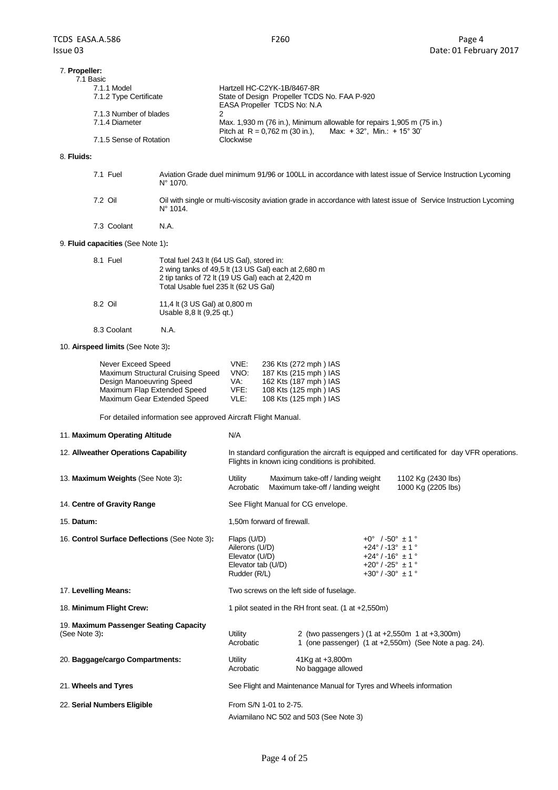| 7. Propeller:<br>7.1 Basic |                                                                                                                                   |
|----------------------------|-----------------------------------------------------------------------------------------------------------------------------------|
| 7.1.1 Model                | Hartzell HC-C2YK-1B/8467-8R                                                                                                       |
| 7.1.2 Type Certificate     | State of Design Propeller TCDS No. FAA P-920<br>EASA Propeller TCDS No: N.A.                                                      |
| 7.1.3 Number of blades     |                                                                                                                                   |
| 7.1.4 Diameter             | Max. 1,930 m (76 in.), Minimum allowable for repairs 1,905 m (75 in.)<br>Pitch at R = 0.762 m (30 in.), Max: +32°, Min.: +15° 30' |
| 7.1.5 Sense of Rotation    | Clockwise                                                                                                                         |

#### 8. **Fluids:**

| 7.1 Fuel    | Aviation Grade duel minimum 91/96 or 100LL in accordance with latest issue of Service Instruction Lycoming<br>$N^{\circ}$ 1070.        |
|-------------|----------------------------------------------------------------------------------------------------------------------------------------|
| 7.2 Oil     | Oil with single or multi-viscosity aviation grade in accordance with latest issue of Service Instruction Lycoming<br>$N^{\circ}$ 1014. |
| 7.3 Coolant | N.A.                                                                                                                                   |

# 9. **Fluid capacities** (See Note 1)**:**

| 8.1 Fuel    | Total fuel 243 lt (64 US Gal), stored in:<br>2 wing tanks of 49,5 lt (13 US Gal) each at 2,680 m<br>2 tip tanks of 72 lt (19 US Gal) each at 2,420 m<br>Total Usable fuel 235 lt (62 US Gal) |
|-------------|----------------------------------------------------------------------------------------------------------------------------------------------------------------------------------------------|
| 8.2 Oil     | 11,4 lt (3 US Gal) at 0,800 m<br>Usable 8,8 lt (9,25 qt.)                                                                                                                                    |
| 8.3 Coolant | N.A.                                                                                                                                                                                         |

### 10. **Airspeed limits** (See Note 3)**:**

| Never Exceed Speed                | VNE: | 236 Kts (272 mph) IAS |
|-----------------------------------|------|-----------------------|
| Maximum Structural Cruising Speed | VNO: | 187 Kts (215 mph) IAS |
| Design Manoeuvring Speed          | VA:  | 162 Kts (187 mph) IAS |
| Maximum Flap Extended Speed       | VFE: | 108 Kts (125 mph) IAS |
| Maximum Gear Extended Speed       | VLE: | 108 Kts (125 mph) IAS |

For detailed information see approved Aircraft Flight Manual.

| 11. Maximum Operating Altitude                          | N/A                                                                                                                                             |                                                     |                                                                                                                                                                                     |  |
|---------------------------------------------------------|-------------------------------------------------------------------------------------------------------------------------------------------------|-----------------------------------------------------|-------------------------------------------------------------------------------------------------------------------------------------------------------------------------------------|--|
| 12. Allweather Operations Capability                    | In standard configuration the aircraft is equipped and certificated for day VFR operations.<br>Flights in known icing conditions is prohibited. |                                                     |                                                                                                                                                                                     |  |
| 13. Maximum Weights (See Note 3):                       | Maximum take-off / landing weight<br>Utility<br>Acrobatic<br>Maximum take-off / landing weight                                                  |                                                     | 1102 Kg (2430 lbs)<br>1000 Kg (2205 lbs)                                                                                                                                            |  |
| 14. Centre of Gravity Range                             |                                                                                                                                                 | See Flight Manual for CG envelope.                  |                                                                                                                                                                                     |  |
| 15. Datum:                                              |                                                                                                                                                 | 1,50m forward of firewall.                          |                                                                                                                                                                                     |  |
| 16. Control Surface Deflections (See Note 3):           | Flaps (U/D)<br>Ailerons (U/D)<br>Elevator (U/D)<br>Elevator tab (U/D)<br>Rudder (R/L)                                                           |                                                     | $+0^{\circ}$ /-50 $^{\circ}$ ± 1 $^{\circ}$<br>$+24^{\circ}$ / -13° $\pm$ 1 °<br>$+24^{\circ}$ / -16° $\pm$ 1 °<br>$+20^{\circ}$ / -25° $\pm$ 1 °<br>$+30^{\circ}$ / -30° $\pm$ 1 ° |  |
| 17. Levelling Means:                                    |                                                                                                                                                 | Two screws on the left side of fuselage.            |                                                                                                                                                                                     |  |
| 18. Minimum Flight Crew:                                |                                                                                                                                                 | 1 pilot seated in the RH front seat. (1 at +2,550m) |                                                                                                                                                                                     |  |
| 19. Maximum Passenger Seating Capacity<br>(See Note 3): | 2 (two passengers) (1 at +2,550m 1 at +3,300m)<br>Utility<br>1 (one passenger) $(1$ at $+2,550$ m) (See Note a pag. 24).<br>Acrobatic           |                                                     |                                                                                                                                                                                     |  |
| 20. Baggage/cargo Compartments:                         | Utility<br>Acrobatic                                                                                                                            | 41Kg at +3,800m<br>No baggage allowed               |                                                                                                                                                                                     |  |
| 21. Wheels and Tyres                                    | See Flight and Maintenance Manual for Tyres and Wheels information                                                                              |                                                     |                                                                                                                                                                                     |  |
| 22. Serial Numbers Eligible                             | From S/N 1-01 to 2-75.                                                                                                                          |                                                     |                                                                                                                                                                                     |  |
|                                                         | Aviamilano NC 502 and 503 (See Note 3)                                                                                                          |                                                     |                                                                                                                                                                                     |  |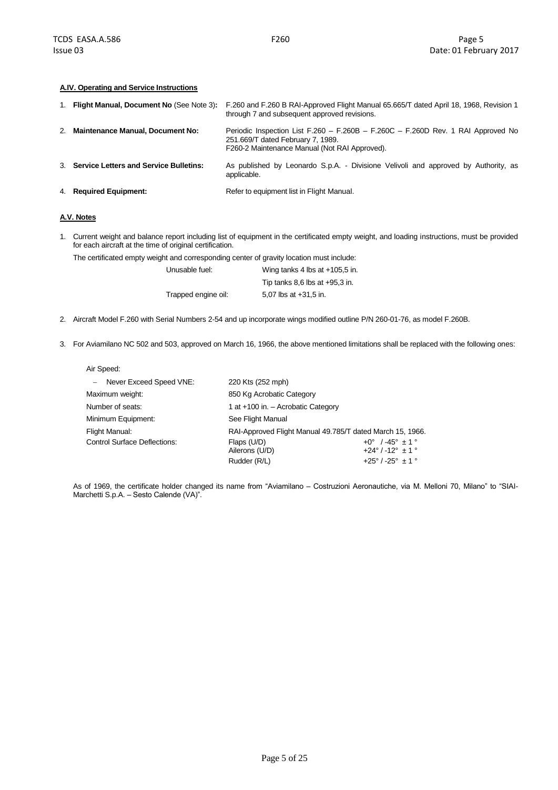### **A.IV. Operating and Service Instructions**

| 1. Flight Manual, Document No (See Note 3): | F.260 and F.260 B RAI-Approved Flight Manual 65.665/T dated April 18, 1968, Revision 1<br>through 7 and subsequent approved revisions.                                 |
|---------------------------------------------|------------------------------------------------------------------------------------------------------------------------------------------------------------------------|
| 2. Maintenance Manual, Document No:         | Periodic Inspection List F.260 – F.260B – F.260C – F.260D Rev. 1 RAI Approved No<br>251.669/T dated February 7, 1989.<br>F260-2 Maintenance Manual (Not RAI Approved). |
| 3. Service Letters and Service Bulletins:   | As published by Leonardo S.p.A. - Divisione Velivoli and approved by Authority, as<br>applicable.                                                                      |
| 4. Required Equipment:                      | Refer to equipment list in Flight Manual.                                                                                                                              |

# **A.V. Notes**

1. Current weight and balance report including list of equipment in the certificated empty weight, and loading instructions, must be provided for each aircraft at the time of original certification.

The certificated empty weight and corresponding center of gravity location must include:

| Unusable fuel:      | Wing tanks 4 lbs at +105,5 in.     |
|---------------------|------------------------------------|
|                     | Tip tanks $8,6$ lbs at $+95,3$ in. |
| Trapped engine oil: | 5.07 lbs at $+31.5$ in.            |

- 2. Aircraft Model F.260 with Serial Numbers 2-54 and up incorporate wings modified outline P/N 260-01-76, as model F.260B.
- 3. For Aviamilano NC 502 and 503, approved on March 16, 1966, the above mentioned limitations shall be replaced with the following ones:

| Air Speed:                                                                  |                                    |                                |  |
|-----------------------------------------------------------------------------|------------------------------------|--------------------------------|--|
| - Never Exceed Speed VNE:                                                   | 220 Kts (252 mph)                  |                                |  |
| Maximum weight:<br>850 Kg Acrobatic Category                                |                                    |                                |  |
| Number of seats:                                                            | 1 at +100 in. - Acrobatic Category |                                |  |
| Minimum Equipment:<br>See Flight Manual                                     |                                    |                                |  |
| RAI-Approved Flight Manual 49.785/T dated March 15, 1966.<br>Flight Manual: |                                    |                                |  |
| <b>Control Surface Deflections:</b>                                         | Flaps (U/D)                        | $+0^{\circ}$ /-45° $\pm$ 1 °   |  |
|                                                                             | Ailerons (U/D)                     | $+24^{\circ}$ / -12° $\pm$ 1 ° |  |
|                                                                             | Rudder (R/L)                       | $+25^{\circ}$ / -25° $\pm$ 1 ° |  |

As of 1969, the certificate holder changed its name from "Aviamilano – Costruzioni Aeronautiche, via M. Melloni 70, Milano" to "SIAI-Marchetti S.p.A. – Sesto Calende (VA)".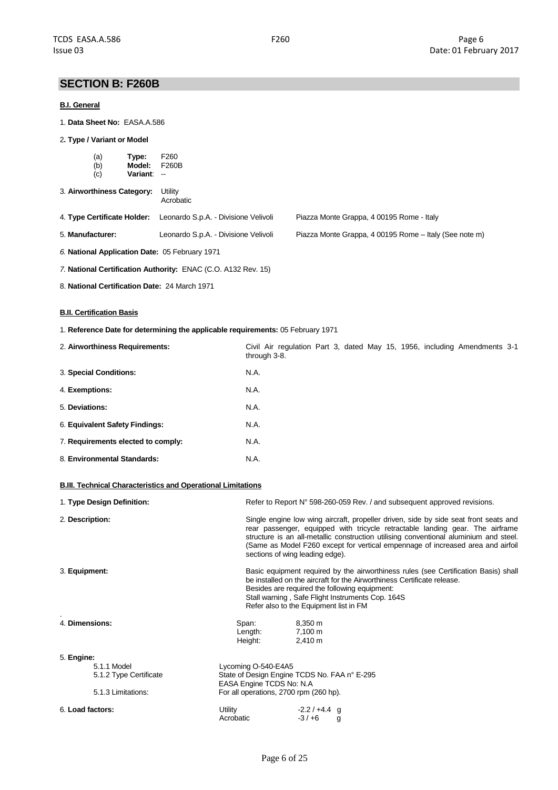# **SECTION B: F260B**

## **B.I. General**

- 1. **Data Sheet No:** EASA.A.586
- 2**. Type / Variant or Model**

| (a) | Type:           | F <sub>260</sub> |
|-----|-----------------|------------------|
| (b) | Model:          | F260B            |
| (c) | <b>Variant:</b> | --               |

| 3. Airworthiness Category: Utility |  |
|------------------------------------|--|
|                                    |  |

Acrobatic

|  | 4. Type Certificate Holder: Leonardo S.p.A. - Divisione Velivoli | Piazza Monte Grappa, 4 00195 Rome - Italy |  |
|--|------------------------------------------------------------------|-------------------------------------------|--|
|--|------------------------------------------------------------------|-------------------------------------------|--|

5. **Manufacturer:** Leonardo S.p.A. - Divisione Velivoli Piazza Monte Grappa, 4 00195 Rome – Italy (See note m)

- *6.* **National Application Date:** 05 February 1971
- *7.* **National Certification Authority:** ENAC (C.O. A132 Rev. 15)
- 8. **National Certification Date:** 24 March 1971

## **B.II. Certification Basis**

1. **Reference Date for determining the applicable requirements:** 05 February 1971

| 2. Airworthiness Requirements:     | Civil Air regulation Part 3, dated May 15, 1956, including Amendments 3-1<br>through 3-8. |
|------------------------------------|-------------------------------------------------------------------------------------------|
| 3. Special Conditions:             | N.A.                                                                                      |
| 4. Exemptions:                     | N.A.                                                                                      |
| 5. Deviations:                     | N.A.                                                                                      |
| 6. Equivalent Safety Findings:     | N.A.                                                                                      |
| 7. Requirements elected to comply: | N.A.                                                                                      |
| 8. Environmental Standards:        | N.A.                                                                                      |

#### **B.III. Technical Characteristics and Operational Limitations**

| 1. Type Design Definition:               |                                                                                                                                                                                                                                                                                                                                                                                      | Refer to Report N° 598-260-059 Rev. / and subsequent approved revisions. |
|------------------------------------------|--------------------------------------------------------------------------------------------------------------------------------------------------------------------------------------------------------------------------------------------------------------------------------------------------------------------------------------------------------------------------------------|--------------------------------------------------------------------------|
| 2. Description:                          | Single engine low wing aircraft, propeller driven, side by side seat front seats and<br>rear passenger, equipped with tricycle retractable landing gear. The airframe<br>structure is an all-metallic construction utilising conventional aluminium and steel.<br>(Same as Model F260 except for vertical empennage of increased area and airfoil<br>sections of wing leading edge). |                                                                          |
| 3. Equipment:                            | Basic equipment required by the airworthiness rules (see Certification Basis) shall<br>be installed on the aircraft for the Airworthiness Certificate release.<br>Besides are required the following equipment:<br>Stall warning, Safe Flight Instruments Cop. 164S<br>Refer also to the Equipment list in FM                                                                        |                                                                          |
| 4. Dimensions:                           | Span:<br>Length:<br>Height:                                                                                                                                                                                                                                                                                                                                                          | 8,350 m<br>7,100 m<br>$2,410 \text{ m}$                                  |
| 5. Engine:                               |                                                                                                                                                                                                                                                                                                                                                                                      |                                                                          |
| 5.1.1 Model                              | Lycoming O-540-E4A5                                                                                                                                                                                                                                                                                                                                                                  |                                                                          |
| 5.1.2 Type Certificate                   | EASA Engine TCDS No: N.A.                                                                                                                                                                                                                                                                                                                                                            | State of Design Engine TCDS No. FAA n° E-295                             |
| 5.1.3 Limitations:                       | For all operations, 2700 rpm (260 hp).                                                                                                                                                                                                                                                                                                                                               |                                                                          |
| 6. Load factors:<br>Utility<br>Acrobatic |                                                                                                                                                                                                                                                                                                                                                                                      | $-2.2/+4.4$ q<br>$-3/+6$<br>g                                            |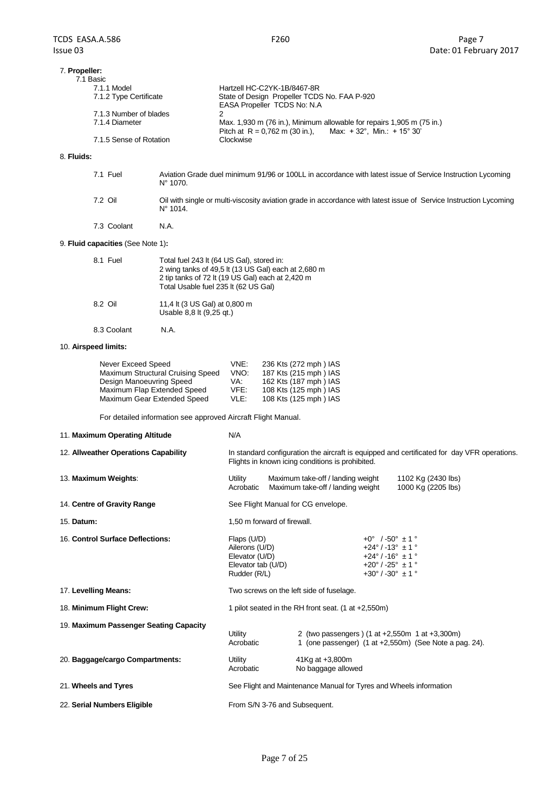| 7. Propeller:<br>7.1 Basic |                                                                                                                                   |
|----------------------------|-----------------------------------------------------------------------------------------------------------------------------------|
| 7.1.1 Model                | Hartzell HC-C2YK-1B/8467-8R                                                                                                       |
| 7.1.2 Type Certificate     | State of Design Propeller TCDS No. FAA P-920<br>EASA Propeller TCDS No: N.A.                                                      |
| 7.1.3 Number of blades     |                                                                                                                                   |
| 7.1.4 Diameter             | Max. 1,930 m (76 in.), Minimum allowable for repairs 1,905 m (75 in.)<br>Pitch at R = 0.762 m (30 in.), Max: +32°, Min.: +15° 30' |
| 7.1.5 Sense of Rotation    | Clockwise                                                                                                                         |

# 8. **Fluids:**

| 7.1 Fuel    | Aviation Grade duel minimum 91/96 or 100LL in accordance with latest issue of Service Instruction Lycoming<br>$N^{\circ}$ 1070.        |
|-------------|----------------------------------------------------------------------------------------------------------------------------------------|
| 7.2 Oil     | Oil with single or multi-viscosity aviation grade in accordance with latest issue of Service Instruction Lycoming<br>$N^{\circ}$ 1014. |
| 7.3 Coolant | N.A.                                                                                                                                   |

# 9. **Fluid capacities** (See Note 1)**:**

| 8.1 Fuel    | Total fuel 243 lt (64 US Gal), stored in:<br>2 wing tanks of 49,5 lt (13 US Gal) each at 2,680 m<br>2 tip tanks of 72 lt (19 US Gal) each at 2,420 m<br>Total Usable fuel 235 lt (62 US Gal) |
|-------------|----------------------------------------------------------------------------------------------------------------------------------------------------------------------------------------------|
| 8.2 Oil     | 11,4 lt (3 US Gal) at 0,800 m<br>Usable 8,8 lt (9,25 gt.)                                                                                                                                    |
| 8.3 Coolant | N.A.                                                                                                                                                                                         |

# 10. **Airspeed limits:**

| Never Exceed Speed                | VNE: | 236 Kts (272 mph) IAS |
|-----------------------------------|------|-----------------------|
| Maximum Structural Cruising Speed | VNO: | 187 Kts (215 mph) IAS |
| Design Manoeuvring Speed          | VA:  | 162 Kts (187 mph) IAS |
| Maximum Flap Extended Speed       | VFE: | 108 Kts (125 mph) IAS |
| Maximum Gear Extended Speed       | VLE: | 108 Kts (125 mph) IAS |

For detailed information see approved Aircraft Flight Manual.

| 11. Maximum Operating Altitude         | N/A                                                                                                                                             |                                                         |                                                                                                                                                                       |                                                        |
|----------------------------------------|-------------------------------------------------------------------------------------------------------------------------------------------------|---------------------------------------------------------|-----------------------------------------------------------------------------------------------------------------------------------------------------------------------|--------------------------------------------------------|
| 12. Allweather Operations Capability   | In standard configuration the aircraft is equipped and certificated for day VFR operations.<br>Flights in known icing conditions is prohibited. |                                                         |                                                                                                                                                                       |                                                        |
| 13. Maximum Weights:                   | Maximum take-off / landing weight<br>Utility<br>Maximum take-off / landing weight<br>Acrobatic                                                  |                                                         |                                                                                                                                                                       | 1102 Kg (2430 lbs)<br>1000 Kg (2205 lbs)               |
| 14. Centre of Gravity Range            |                                                                                                                                                 | See Flight Manual for CG envelope.                      |                                                                                                                                                                       |                                                        |
| 15. Datum:                             | 1,50 m forward of firewall.                                                                                                                     |                                                         |                                                                                                                                                                       |                                                        |
| 16. Control Surface Deflections:       | Flaps (U/D)<br>Ailerons (U/D)<br>Elevator (U/D)<br>Elevator tab (U/D)<br>Rudder (R/L)                                                           |                                                         | $+0^{\circ}$ / -50° $\pm$ 1 °<br>$+24^{\circ}$ / -13° $\pm$ 1 °<br>$+24^{\circ}$ / -16° $\pm$ 1 °<br>$+20^{\circ}$ / -25° $\pm$ 1 °<br>$+30^{\circ}$ / -30° $\pm$ 1 ° |                                                        |
| 17. Levelling Means:                   | Two screws on the left side of fuselage.                                                                                                        |                                                         |                                                                                                                                                                       |                                                        |
| 18. Minimum Flight Crew:               |                                                                                                                                                 | 1 pilot seated in the RH front seat. $(1$ at $+2,550m)$ |                                                                                                                                                                       |                                                        |
| 19. Maximum Passenger Seating Capacity | Utility<br>Acrobatic                                                                                                                            | 2 (two passengers) (1 at +2,550m 1 at +3,300m)          |                                                                                                                                                                       | 1 (one passenger) (1 at +2,550m) (See Note a pag. 24). |
| 20. Baggage/cargo Compartments:        | 41Kg at +3,800m<br>Utility<br>No baggage allowed<br>Acrobatic                                                                                   |                                                         |                                                                                                                                                                       |                                                        |
| 21. Wheels and Tyres                   | See Flight and Maintenance Manual for Tyres and Wheels information                                                                              |                                                         |                                                                                                                                                                       |                                                        |
| 22. Serial Numbers Eligible            | From S/N 3-76 and Subsequent.                                                                                                                   |                                                         |                                                                                                                                                                       |                                                        |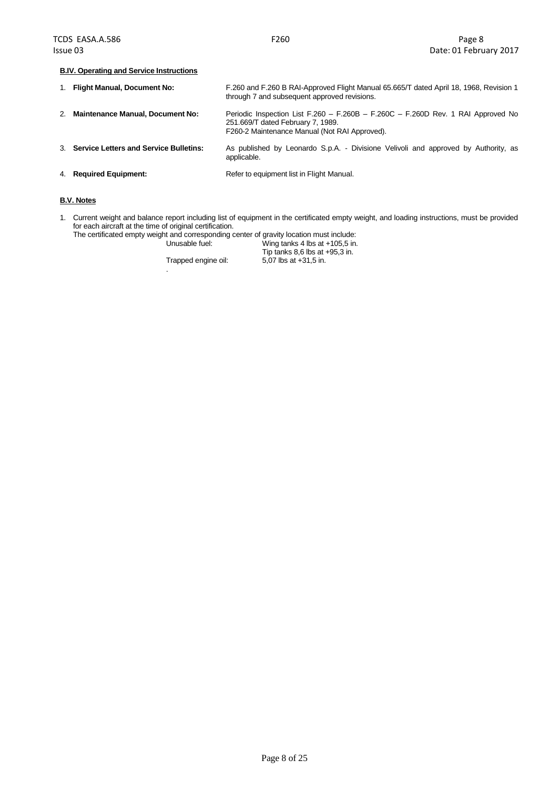#### **B.IV. Operating and Service Instructions**

|    | 1. Flight Manual, Document No:            | F.260 and F.260 B RAI-Approved Flight Manual 65.665/T dated April 18, 1968, Revision 1<br>through 7 and subsequent approved revisions.                                 |
|----|-------------------------------------------|------------------------------------------------------------------------------------------------------------------------------------------------------------------------|
| 2. | <b>Maintenance Manual, Document No:</b>   | Periodic Inspection List F.260 – F.260B – F.260C – F.260D Rev. 1 RAI Approved No<br>251.669/T dated February 7, 1989.<br>F260-2 Maintenance Manual (Not RAI Approved). |
|    | 3. Service Letters and Service Bulletins: | As published by Leonardo S.p.A. - Divisione Velivoli and approved by Authority, as<br>applicable.                                                                      |
|    | 4. Required Equipment:                    | Refer to equipment list in Flight Manual.                                                                                                                              |

# **B.V. Notes**

1. Current weight and balance report including list of equipment in the certificated empty weight, and loading instructions, must be provided for each aircraft at the time of original certification.

The certificated empty weight and corresponding center of gravity location must include:<br>Unusable fuel: Wing tanks 4 lbs at +105,5 in. Wing tanks 4 lbs at +105,5 in.

Trapped engine oil: 5,07 lbs at +31,5 in.

.

Tip tanks  $8,6$  lbs at  $+95,3$  in.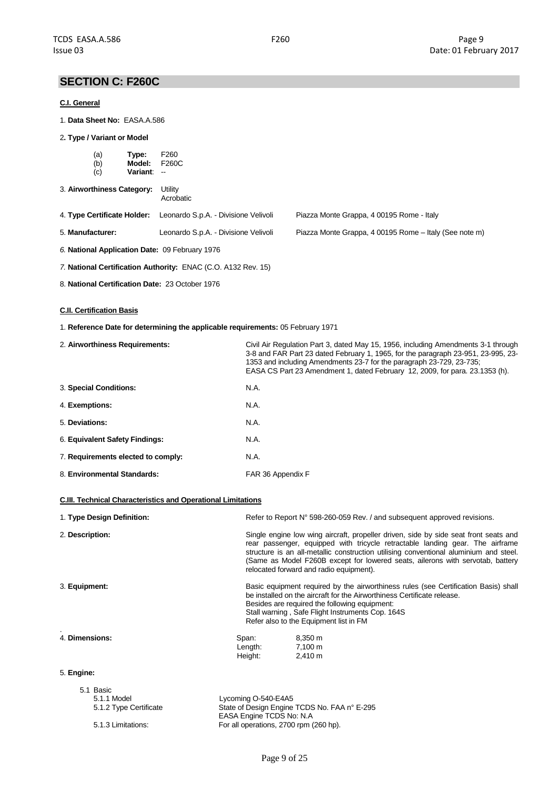# **SECTION C: F260C**

### **C.I. General**

1. **Data Sheet No:** EASA.A.586

#### 2**. Type / Variant or Model**

|                  | (a)<br>(b)<br>(c)           | Type:<br>Model:<br>Variant: -- | F <sub>260</sub><br>F260C                      |                                                        |
|------------------|-----------------------------|--------------------------------|------------------------------------------------|--------------------------------------------------------|
|                  | 3. Airworthiness Category:  |                                | Utility<br>Acrobatic                           |                                                        |
|                  | 4. Type Certificate Holder: |                                | Leonardo S.p.A. - Divisione Velivoli           | Piazza Monte Grappa, 4 00195 Rome - Italy              |
| 5. Manufacturer: |                             |                                | Leonardo S.p.A. - Divisione Velivoli           | Piazza Monte Grappa, 4 00195 Rome - Italy (See note m) |
|                  |                             |                                | 6. National Application Date: 09 February 1976 |                                                        |

- *7.* **National Certification Authority:** ENAC (C.O. A132 Rev. 15)
- 8. **National Certification Date:** 23 October 1976

### **C.II. Certification Basis**

1. **Reference Date for determining the applicable requirements:** 05 February 1971

| 2. Airworthiness Requirements:     | Civil Air Regulation Part 3, dated May 15, 1956, including Amendments 3-1 through<br>3-8 and FAR Part 23 dated February 1, 1965, for the paragraph 23-951, 23-995, 23-<br>1353 and including Amendments 23-7 for the paragraph 23-729, 23-735;<br>EASA CS Part 23 Amendment 1, dated February 12, 2009, for para. 23.1353 (h). |
|------------------------------------|--------------------------------------------------------------------------------------------------------------------------------------------------------------------------------------------------------------------------------------------------------------------------------------------------------------------------------|
| 3. Special Conditions:             | N.A.                                                                                                                                                                                                                                                                                                                           |
| 4. Exemptions:                     | N.A.                                                                                                                                                                                                                                                                                                                           |
| 5. Deviations:                     | N.A.                                                                                                                                                                                                                                                                                                                           |
| 6. Equivalent Safety Findings:     | N.A.                                                                                                                                                                                                                                                                                                                           |
| 7. Requirements elected to comply: | N.A.                                                                                                                                                                                                                                                                                                                           |
| 8. Environmental Standards:        | FAR 36 Appendix F                                                                                                                                                                                                                                                                                                              |

### **C.III. Technical Characteristics and Operational Limitations**

| 1. Type Design Definition: |                                                                                                                                                                                                                                                                                                               | Refer to Report N° 598-260-059 Rev. / and subsequent approved revisions.                                                                                                                                                                                                                                                                                                                    |  |
|----------------------------|---------------------------------------------------------------------------------------------------------------------------------------------------------------------------------------------------------------------------------------------------------------------------------------------------------------|---------------------------------------------------------------------------------------------------------------------------------------------------------------------------------------------------------------------------------------------------------------------------------------------------------------------------------------------------------------------------------------------|--|
| 2. Description:            |                                                                                                                                                                                                                                                                                                               | Single engine low wing aircraft, propeller driven, side by side seat front seats and<br>rear passenger, equipped with tricycle retractable landing gear. The airframe<br>structure is an all-metallic construction utilising conventional aluminium and steel.<br>(Same as Model F260B except for lowered seats, ailerons with servotab, battery<br>relocated forward and radio equipment). |  |
| 3. Equipment:              | Basic equipment required by the airworthiness rules (see Certification Basis) shall<br>be installed on the aircraft for the Airworthiness Certificate release.<br>Besides are required the following equipment:<br>Stall warning, Safe Flight Instruments Cop. 164S<br>Refer also to the Equipment list in FM |                                                                                                                                                                                                                                                                                                                                                                                             |  |
| 4. Dimensions:             | Span:<br>Length:<br>Height:                                                                                                                                                                                                                                                                                   | 8,350 m<br>7,100 m<br>2.410 m                                                                                                                                                                                                                                                                                                                                                               |  |
| 5. Engine:                 |                                                                                                                                                                                                                                                                                                               |                                                                                                                                                                                                                                                                                                                                                                                             |  |

| 5.1 Basic              |                                                                           |
|------------------------|---------------------------------------------------------------------------|
| 5.1.1 Model            | Lycoming O-540-E4A5                                                       |
| 5.1.2 Type Certificate | State of Design Engine TCDS No. FAA n° E-295<br>EASA Engine TCDS No: N.A. |
| 5.1.3 Limitations:     | For all operations, 2700 rpm (260 hp).                                    |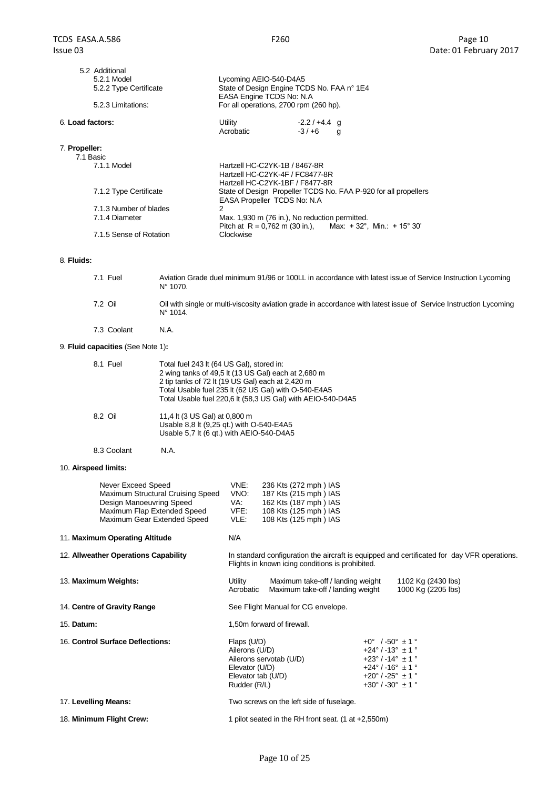| 5.2 Additional<br>5.2.1 Model<br>5.2.2 Type Certificate<br>5.2.3 Limitations: | Lycoming AEIO-540-D4A5<br>State of Design Engine TCDS No. FAA n° 1E4<br>EASA Engine TCDS No: N.A<br>For all operations, 2700 rpm (260 hp). |               |                                                                 |  |
|-------------------------------------------------------------------------------|--------------------------------------------------------------------------------------------------------------------------------------------|---------------|-----------------------------------------------------------------|--|
| 6. Load factors:                                                              | Utility                                                                                                                                    | $-2.2/+4.4$ q |                                                                 |  |
|                                                                               | Acrobatic                                                                                                                                  | $-3/+6$ g     |                                                                 |  |
| 7. Propeller:<br>7.1 Basic                                                    |                                                                                                                                            |               |                                                                 |  |
| 7.1.1 Model                                                                   | Hartzell HC-C2YK-1B / 8467-8R<br>Hartzell HC-C2YK-4F / FC8477-8R<br>Hartzell HC-C2YK-1BF / F8477-8R                                        |               |                                                                 |  |
| 7.1.2 Type Certificate                                                        | EASA Propeller TCDS No: N.A.                                                                                                               |               | State of Design Propeller TCDS No. FAA P-920 for all propellers |  |
| 7.1.3 Number of blades                                                        | 2                                                                                                                                          |               |                                                                 |  |
| 7.1.4 Diameter                                                                | Max. 1,930 m (76 in.), No reduction permitted.                                                                                             |               | Pitch at R = 0.762 m (30 in.), Max: +32°, Min.: +15° 30'        |  |
| 7.1.5 Sense of Rotation                                                       | Clockwise                                                                                                                                  |               |                                                                 |  |

#### 8. **Fluids:**

| 7.1 Fuel | Aviation Grade duel minimum 91/96 or 100LL in accordance with latest issue of Service Instruction Lycoming<br>$N^{\circ}$ 1070.        |
|----------|----------------------------------------------------------------------------------------------------------------------------------------|
| 7.2 Oil  | Oil with single or multi-viscosity aviation grade in accordance with latest issue of Service Instruction Lycoming<br>$N^{\circ}$ 1014. |

7.3 Coolant N.A.

8.3 Coolant N.A.

# 9. **Fluid capacities** (See Note 1)**:**

| 8.1 Fuel | Total fuel 243 lt (64 US Gal), stored in:<br>2 wing tanks of 49.5 lt (13 US Gal) each at 2,680 m<br>2 tip tanks of 72 lt (19 US Gal) each at 2,420 m<br>Total Usable fuel 235 lt (62 US Gal) with O-540-E4A5<br>Total Usable fuel 220,6 lt (58,3 US Gal) with AEIO-540-D4A5 |
|----------|-----------------------------------------------------------------------------------------------------------------------------------------------------------------------------------------------------------------------------------------------------------------------------|
| 8.2 Oil  | 11,4 lt (3 US Gal) at 0,800 m<br>Usable 8.8 It (9.25 gt.) with O-540-E4A5<br>Usable 5,7 lt (6 qt.) with AEIO-540-D4A5                                                                                                                                                       |

10. **Airspeed limits:**

|                                      | Never Exceed Speed<br>Maximum Structural Cruising Speed<br>Design Manoeuvring Speed<br>Maximum Flap Extended Speed<br>Maximum Gear Extended Speed | VNE:<br>VNO:<br>VA:<br>VFE:<br>VLE:                                                                                                             | 236 Kts (272 mph) IAS<br>187 Kts (215 mph) IAS<br>162 Kts (187 mph) IAS<br>108 Kts (125 mph) IAS<br>108 Kts (125 mph) IAS |                                                                                                                                                                                                        |                                          |
|--------------------------------------|---------------------------------------------------------------------------------------------------------------------------------------------------|-------------------------------------------------------------------------------------------------------------------------------------------------|---------------------------------------------------------------------------------------------------------------------------|--------------------------------------------------------------------------------------------------------------------------------------------------------------------------------------------------------|------------------------------------------|
| 11. Maximum Operating Altitude       |                                                                                                                                                   | N/A                                                                                                                                             |                                                                                                                           |                                                                                                                                                                                                        |                                          |
| 12. Allweather Operations Capability |                                                                                                                                                   | In standard configuration the aircraft is equipped and certificated for day VFR operations.<br>Flights in known icing conditions is prohibited. |                                                                                                                           |                                                                                                                                                                                                        |                                          |
| 13. Maximum Weights:                 |                                                                                                                                                   | Utility<br>Acrobatic                                                                                                                            | Maximum take-off / landing weight<br>Maximum take-off / landing weight                                                    |                                                                                                                                                                                                        | 1102 Kg (2430 lbs)<br>1000 Kg (2205 lbs) |
| 14. Centre of Gravity Range          |                                                                                                                                                   | See Flight Manual for CG envelope.                                                                                                              |                                                                                                                           |                                                                                                                                                                                                        |                                          |
| 15. Datum:                           |                                                                                                                                                   | 1,50m forward of firewall.                                                                                                                      |                                                                                                                           |                                                                                                                                                                                                        |                                          |
| 16. Control Surface Deflections:     |                                                                                                                                                   | Flaps (U/D)<br>Ailerons (U/D)<br>Ailerons servotab (U/D)<br>Elevator (U/D)<br>Elevator tab (U/D)<br>Rudder (R/L)                                |                                                                                                                           | $+0^{\circ}$ /-50° $\pm$ 1 °<br>$+24^{\circ}$ / -13° $\pm$ 1 °<br>$+23^{\circ}$ / -14° $\pm$ 1 °<br>$+24^{\circ}$ / -16° $\pm$ 1 °<br>$+20^{\circ}$ / -25° $\pm$ 1 °<br>$+30^{\circ}$ / -30° $\pm$ 1 ° |                                          |
| 17. Levelling Means:                 |                                                                                                                                                   | Two screws on the left side of fuselage.                                                                                                        |                                                                                                                           |                                                                                                                                                                                                        |                                          |
| 18. Minimum Flight Crew:             |                                                                                                                                                   | 1 pilot seated in the RH front seat. $(1$ at $+2,550m)$                                                                                         |                                                                                                                           |                                                                                                                                                                                                        |                                          |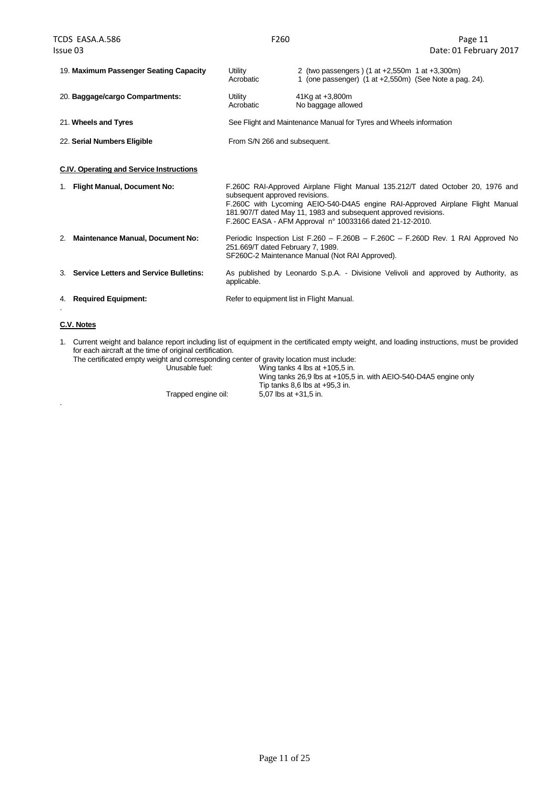.

| 19. Maximum Passenger Seating Capacity        | Utility<br>Acrobatic                                                                                                                                                                                                                                                                                                              | 2 (two passengers) (1 at +2,550m 1 at +3,300m)<br>1 (one passenger) $(1$ at $+2,550$ m) (See Note a pag. 24). |  |
|-----------------------------------------------|-----------------------------------------------------------------------------------------------------------------------------------------------------------------------------------------------------------------------------------------------------------------------------------------------------------------------------------|---------------------------------------------------------------------------------------------------------------|--|
| 20. Baggage/cargo Compartments:               | Utility<br>Acrobatic                                                                                                                                                                                                                                                                                                              | 41Kg at +3,800m<br>No baggage allowed                                                                         |  |
| 21. Wheels and Tyres                          |                                                                                                                                                                                                                                                                                                                                   | See Flight and Maintenance Manual for Tyres and Wheels information                                            |  |
| 22. Serial Numbers Eligible                   | From S/N 266 and subsequent.                                                                                                                                                                                                                                                                                                      |                                                                                                               |  |
| C.IV. Operating and Service Instructions      |                                                                                                                                                                                                                                                                                                                                   |                                                                                                               |  |
| <b>Flight Manual, Document No:</b><br>1.      | F.260C RAI-Approved Airplane Flight Manual 135.212/T dated October 20, 1976 and<br>subsequent approved revisions.<br>F.260C with Lycoming AEIO-540-D4A5 engine RAI-Approved Airplane Flight Manual<br>181.907/T dated May 11, 1983 and subsequent approved revisions.<br>F.260C EASA - AFM Approval n° 10033166 dated 21-12-2010. |                                                                                                               |  |
| <b>Maintenance Manual, Document No:</b><br>2. | Periodic Inspection List F.260 - F.260B - F.260C - F.260D Rev. 1 RAI Approved No<br>251.669/T dated February 7, 1989.<br>SF260C-2 Maintenance Manual (Not RAI Approved).                                                                                                                                                          |                                                                                                               |  |
| 3. Service Letters and Service Bulletins:     | applicable.                                                                                                                                                                                                                                                                                                                       | As published by Leonardo S.p.A. - Divisione Velivoli and approved by Authority, as                            |  |
| 4. Required Equipment:                        | Refer to equipment list in Flight Manual.                                                                                                                                                                                                                                                                                         |                                                                                                               |  |
| C.V. Notes                                    |                                                                                                                                                                                                                                                                                                                                   |                                                                                                               |  |

1. Current weight and balance report including list of equipment in the certificated empty weight, and loading instructions, must be provided for each aircraft at the time of original certification.

The certificated empty weight and corresponding center of gravity location must include:<br>Unusable fuel: Wing tanks 4 lbs at +105,5 in. Unusable fuel: Wing tanks 4 lbs at +105,5 in.

Wing tanks 26,9 lbs at +105,5 in. with AEIO-540-D4A5 engine only Tip tanks 8,6 lbs at +95,3 in. Trapped engine oil: 5,07 lbs at +31,5 in.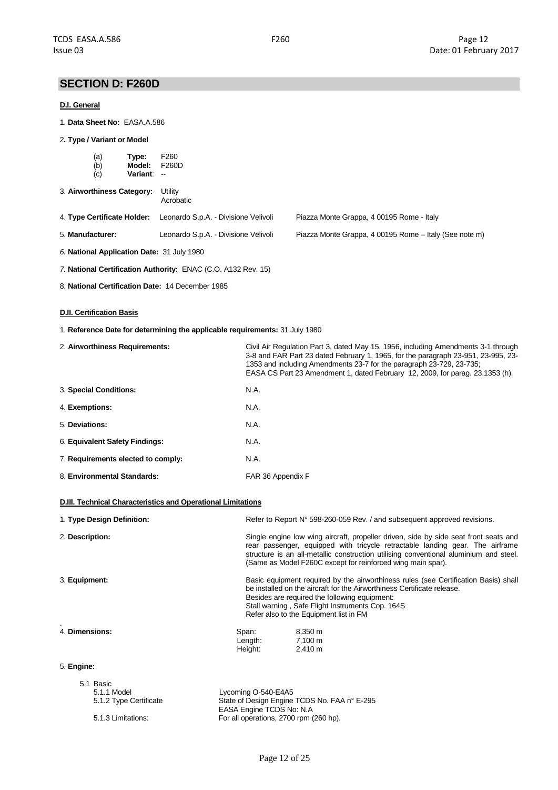# **SECTION D: F260D**

### **D.I. General**

- 1. **Data Sheet No:** EASA.A.586
- 2**. Type / Variant or Model**

| $(a)$<br>$(b)$<br>(c)       | Type:<br>Model:<br>Variant: -- | F <sub>260</sub><br>F260D            |                                                        |
|-----------------------------|--------------------------------|--------------------------------------|--------------------------------------------------------|
| 3. Airworthiness Category:  |                                | Utility<br>Acrobatic                 |                                                        |
| 4. Type Certificate Holder: |                                | Leonardo S.p.A. - Divisione Velivoli | Piazza Monte Grappa, 4 00195 Rome - Italy              |
| 5. Manufacturer:            |                                | Leonardo S.p.A. - Divisione Velivoli | Piazza Monte Grappa, 4 00195 Rome - Italy (See note m) |
|                             |                                |                                      |                                                        |

- *6.* **National Application Date:** 31 July 1980
- *7.* **National Certification Authority:** ENAC (C.O. A132 Rev. 15)
- 8. **National Certification Date:** 14 December 1985

### **D.II. Certification Basis**

1. **Reference Date for determining the applicable requirements:** 31 July 1980

| 2. Airworthiness Requirements:     | Civil Air Regulation Part 3, dated May 15, 1956, including Amendments 3-1 through<br>3-8 and FAR Part 23 dated February 1, 1965, for the paragraph 23-951, 23-995, 23-<br>1353 and including Amendments 23-7 for the paragraph 23-729, 23-735;<br>EASA CS Part 23 Amendment 1, dated February 12, 2009, for parag. 23.1353 (h). |
|------------------------------------|---------------------------------------------------------------------------------------------------------------------------------------------------------------------------------------------------------------------------------------------------------------------------------------------------------------------------------|
| 3. Special Conditions:             | N.A.                                                                                                                                                                                                                                                                                                                            |
| 4. Exemptions:                     | N.A.                                                                                                                                                                                                                                                                                                                            |
| 5. Deviations:                     | N.A.                                                                                                                                                                                                                                                                                                                            |
| 6. Equivalent Safety Findings:     | N.A.                                                                                                                                                                                                                                                                                                                            |
| 7. Requirements elected to comply: | N.A.                                                                                                                                                                                                                                                                                                                            |
| 8. Environmental Standards:        | FAR 36 Appendix F                                                                                                                                                                                                                                                                                                               |

#### **D.III. Technical Characteristics and Operational Limitations**

| 1. Type Design Definition: | Refer to Report N° 598-260-059 Rev. / and subsequent approved revisions.                                                                                                                                                                                                                                                      |
|----------------------------|-------------------------------------------------------------------------------------------------------------------------------------------------------------------------------------------------------------------------------------------------------------------------------------------------------------------------------|
| 2. Description:            | Single engine low wing aircraft, propeller driven, side by side seat front seats and<br>rear passenger, equipped with tricycle retractable landing gear. The airframe<br>structure is an all-metallic construction utilising conventional aluminium and steel.<br>(Same as Model F260C except for reinforced wing main spar). |
| 3. Equipment:              | Basic equipment required by the airworthiness rules (see Certification Basis) shall<br>be installed on the aircraft for the Airworthiness Certificate release.<br>Besides are required the following equipment:<br>Stall warning, Safe Flight Instruments Cop. 164S<br>Refer also to the Equipment list in FM                 |
| 4. Dimensions:             | 8,350 m<br>Span:<br>7,100 m<br>Length:<br>Height:<br>$2,410 \text{ m}$                                                                                                                                                                                                                                                        |
| 5. Engine:                 |                                                                                                                                                                                                                                                                                                                               |
| 5.1 Basic<br>511 Model     | $V_{\rm comina}$ $0.540$ -FAA5                                                                                                                                                                                                                                                                                                |

| 5.1.1 Model            | Lycoming O-540-E4A5                          |
|------------------------|----------------------------------------------|
| 5.1.2 Type Certificate | State of Design Engine TCDS No. FAA n° E-295 |
|                        | EASA Engine TCDS No: N.A.                    |
| 5.1.3 Limitations:     | For all operations, 2700 rpm (260 hp).       |
|                        |                                              |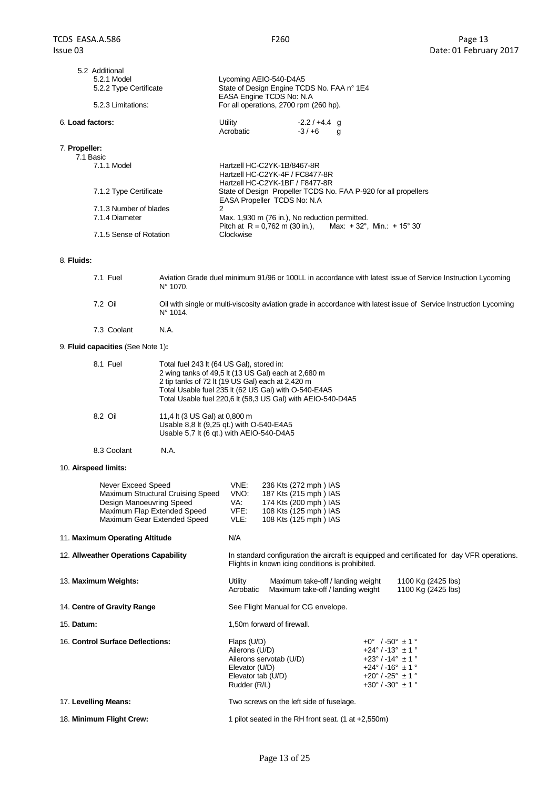|                                                                                                                                                                                                                                                                                                                                                    | Lycoming AEIO-540-D4A5<br>State of Design Engine TCDS No. FAA n° 1E4<br>EASA Engine TCDS No: N.A<br>For all operations, 2700 rpm (260 hp). |                                                                                                                             |  |
|----------------------------------------------------------------------------------------------------------------------------------------------------------------------------------------------------------------------------------------------------------------------------------------------------------------------------------------------------|--------------------------------------------------------------------------------------------------------------------------------------------|-----------------------------------------------------------------------------------------------------------------------------|--|
| 6. Load factors:<br>Utility<br>Acrobatic                                                                                                                                                                                                                                                                                                           | $-2.2/+4.4$ g<br>$-3/+6$                                                                                                                   | g                                                                                                                           |  |
| 7. Propeller:<br>7.1 Basic<br>7.1.1 Model<br>Hartzell HC-C2YK-1B/8467-8R<br>Hartzell HC-C2YK-4F / FC8477-8R<br>Hartzell HC-C2YK-1BF / F8477-8R<br>7.1.2 Type Certificate<br>EASA Propeller TCDS No: N.A<br>7.1.3 Number of blades<br>2<br>7.1.4 Diameter<br>Max. 1,930 m (76 in.), No reduction permitted.<br>7.1.5 Sense of Rotation<br>Clockwise |                                                                                                                                            | State of Design Propeller TCDS No. FAA P-920 for all propellers<br>Pitch at R = 0.762 m (30 in.), Max: +32°, Min.: +15° 30' |  |

#### 8. **Fluids:**

| 7.1 Fuel | Aviation Grade duel minimum 91/96 or 100LL in accordance with latest issue of Service Instruction Lycoming<br>$N^{\circ}$ 1070.        |
|----------|----------------------------------------------------------------------------------------------------------------------------------------|
| 7.2 Oil  | Oil with single or multi-viscosity aviation grade in accordance with latest issue of Service Instruction Lycoming<br>$N^{\circ}$ 1014. |

7.3 Coolant N.A.

8.3 Coolant N.A.

# 9. **Fluid capacities** (See Note 1)**:**

| 8.1 Fuel | Total fuel 243 It (64 US Gal), stored in:<br>2 wing tanks of 49.5 lt (13 US Gal) each at 2,680 m<br>2 tip tanks of 72 lt (19 US Gal) each at 2,420 m<br>Total Usable fuel 235 lt (62 US Gal) with O-540-E4A5<br>Total Usable fuel 220,6 lt (58,3 US Gal) with AEIO-540-D4A5 |
|----------|-----------------------------------------------------------------------------------------------------------------------------------------------------------------------------------------------------------------------------------------------------------------------------|
| 8.2 Oil  | 11,4 lt (3 US Gal) at 0,800 m<br>Usable 8.8 It (9.25 gt.) with O-540-E4A5<br>Usable 5.7 It (6 gt.) with AEIO-540-D4A5                                                                                                                                                       |

10. **Airspeed limits:**

| Never Exceed Speed<br>Maximum Structural Cruising Speed<br>Design Manoeuvring Speed<br>Maximum Flap Extended Speed<br>Maximum Gear Extended Speed | VNE:<br>VNO:<br>VA:<br>VFE:<br>VLE:                                                   | 236 Kts (272 mph) IAS<br>187 Kts (215 mph) IAS<br>174 Kts (200 mph) IAS<br>108 Kts (125 mph) IAS<br>108 Kts (125 mph) IAS |                                                                                                                                                                                                                        |                                                                                             |
|---------------------------------------------------------------------------------------------------------------------------------------------------|---------------------------------------------------------------------------------------|---------------------------------------------------------------------------------------------------------------------------|------------------------------------------------------------------------------------------------------------------------------------------------------------------------------------------------------------------------|---------------------------------------------------------------------------------------------|
| 11. Maximum Operating Altitude                                                                                                                    | N/A                                                                                   |                                                                                                                           |                                                                                                                                                                                                                        |                                                                                             |
| 12. Allweather Operations Capability                                                                                                              |                                                                                       | Flights in known icing conditions is prohibited.                                                                          |                                                                                                                                                                                                                        | In standard configuration the aircraft is equipped and certificated for day VFR operations. |
| 13. Maximum Weights:                                                                                                                              | Utility<br>Acrobatic                                                                  | Maximum take-off / landing weight<br>Maximum take-off / landing weight                                                    |                                                                                                                                                                                                                        | 1100 Kg (2425 lbs)<br>1100 Kg (2425 lbs)                                                    |
| 14. Centre of Gravity Range                                                                                                                       |                                                                                       | See Flight Manual for CG envelope.                                                                                        |                                                                                                                                                                                                                        |                                                                                             |
| 15. Datum:                                                                                                                                        |                                                                                       | 1,50m forward of firewall.                                                                                                |                                                                                                                                                                                                                        |                                                                                             |
| 16. Control Surface Deflections:                                                                                                                  | Flaps (U/D)<br>Ailerons (U/D)<br>Elevator (U/D)<br>Elevator tab (U/D)<br>Rudder (R/L) | Ailerons servotab (U/D)                                                                                                   | $+0^{\circ}$ / -50° $\pm$ 1 °<br>$+24^{\circ}$ / -13° $\pm$ 1 °<br>$+23^{\circ}$ / -14 $^{\circ}$ ± 1 $^{\circ}$<br>$+24^{\circ}$ / -16° $\pm$ 1 °<br>$+20^{\circ}$ / -25° $\pm$ 1 °<br>$+30^{\circ}$ / -30° $\pm$ 1 ° |                                                                                             |
| 17. Levelling Means:                                                                                                                              |                                                                                       | Two screws on the left side of fuselage.                                                                                  |                                                                                                                                                                                                                        |                                                                                             |
| 18. Minimum Flight Crew:                                                                                                                          |                                                                                       | 1 pilot seated in the RH front seat. $(1$ at $+2,550m)$                                                                   |                                                                                                                                                                                                                        |                                                                                             |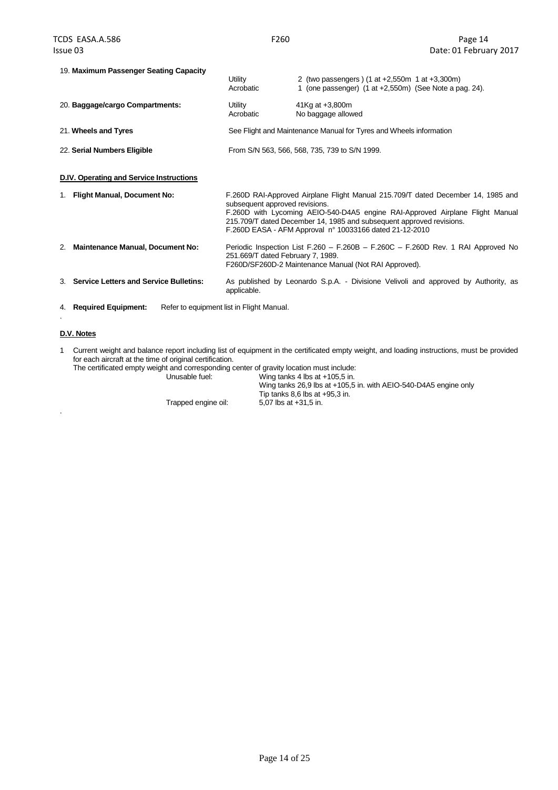| 19. Maximum Passenger Seating Capacity          | Utility<br>Acrobatic                      | 2 (two passengers) (1 at +2,550m 1 at +3,300m)<br>1 (one passenger) (1 at +2,550m) (See Note a pag. 24).                                                                                                                                                                                             |
|-------------------------------------------------|-------------------------------------------|------------------------------------------------------------------------------------------------------------------------------------------------------------------------------------------------------------------------------------------------------------------------------------------------------|
| 20. Baggage/cargo Compartments:                 | Utility<br>Acrobatic                      | 41Kg at +3,800m<br>No baggage allowed                                                                                                                                                                                                                                                                |
| 21. Wheels and Tyres                            |                                           | See Flight and Maintenance Manual for Tyres and Wheels information                                                                                                                                                                                                                                   |
| 22. Serial Numbers Eligible                     |                                           | From S/N 563, 566, 568, 735, 739 to S/N 1999.                                                                                                                                                                                                                                                        |
| <b>D.IV. Operating and Service Instructions</b> |                                           |                                                                                                                                                                                                                                                                                                      |
| <b>Flight Manual, Document No:</b>              | subsequent approved revisions.            | F.260D RAI-Approved Airplane Flight Manual 215.709/T dated December 14, 1985 and<br>F.260D with Lycoming AEIO-540-D4A5 engine RAI-Approved Airplane Flight Manual<br>215.709/T dated December 14, 1985 and subsequent approved revisions.<br>F.260D EASA - AFM Approval n° 10033166 dated 21-12-2010 |
| <b>Maintenance Manual, Document No:</b><br>2.   | 251.669/T dated February 7, 1989.         | Periodic Inspection List F.260 - F.260B - F.260C - F.260D Rev. 1 RAI Approved No<br>F260D/SF260D-2 Maintenance Manual (Not RAI Approved).                                                                                                                                                            |
| 3. Service Letters and Service Bulletins:       | applicable.                               | As published by Leonardo S.p.A. - Divisione Velivoli and approved by Authority, as                                                                                                                                                                                                                   |
| 4. Required Equipment:                          | Refer to equipment list in Flight Manual. |                                                                                                                                                                                                                                                                                                      |

### **D.V. Notes**

.

1 Current weight and balance report including list of equipment in the certificated empty weight, and loading instructions, must be provided for each aircraft at the time of original certification.

The certificated empty weight and corresponding center of gravity location must include:<br>Unusable fuel: Wing tanks 4 lbs at +105,5 in.

Wing tanks 4 lbs at  $+105,5$  in. Wing tanks 26,9 lbs at +105,5 in. with AEIO-540-D4A5 engine only Tip tanks 8,6 lbs at +95,3 in. Trapped engine oil: 5,07 lbs at +31,5 in.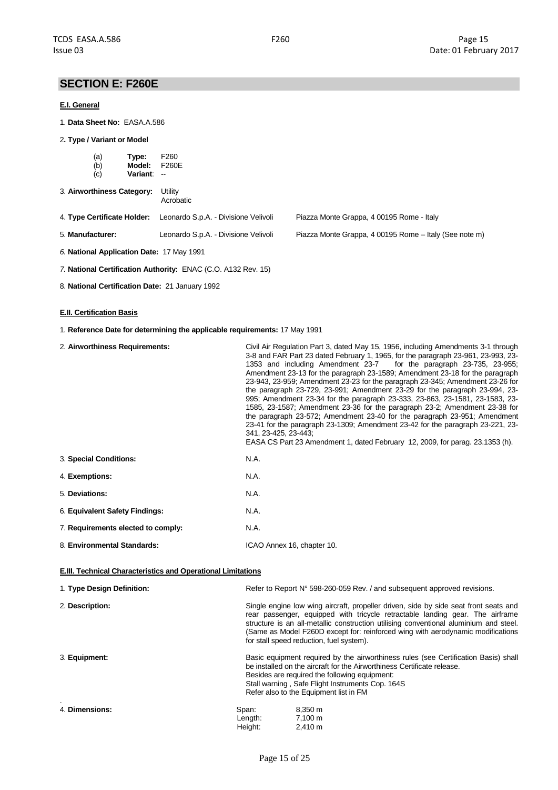# **SECTION E: F260E**

#### **E.I. General**

- 1. **Data Sheet No:** EASA.A.586
- 2**. Type / Variant or Model**

| $(a)$<br>$(b)$<br>Type:<br>Model:<br>(c)<br><b>Variant:</b> | F <sub>260</sub><br>F260E<br>$\sim$  |                                                        |
|-------------------------------------------------------------|--------------------------------------|--------------------------------------------------------|
| 3. Airworthiness Category:                                  | Utility<br>Acrobatic                 |                                                        |
| 4. Type Certificate Holder:                                 | Leonardo S.p.A. - Divisione Velivoli | Piazza Monte Grappa, 4 00195 Rome - Italy              |
| 5. Manufacturer:                                            | Leonardo S.p.A. - Divisione Velivoli | Piazza Monte Grappa, 4 00195 Rome - Italy (See note m) |
|                                                             |                                      |                                                        |

- *6.* **National Application Date:** 17 May 1991
- *7.* **National Certification Authority:** ENAC (C.O. A132 Rev. 15)
- 8. **National Certification Date:** 21 January 1992

### **E.II. Certification Basis**

1. **Reference Date for determining the applicable requirements:** 17 May 1991

| 2. Airworthiness Requirements:                               | Civil Air Regulation Part 3, dated May 15, 1956, including Amendments 3-1 through<br>3-8 and FAR Part 23 dated February 1, 1965, for the paragraph 23-961, 23-993, 23-<br>1353 and including Amendment 23-7<br>Amendment 23-13 for the paragraph 23-1589; Amendment 23-18 for the paragraph<br>23-943, 23-959; Amendment 23-23 for the paragraph 23-345; Amendment 23-26 for<br>the paragraph 23-729, 23-991; Amendment 23-29 for the paragraph 23-994, 23-<br>995; Amendment 23-34 for the paragraph 23-333, 23-863, 23-1581, 23-1583, 23-<br>1585, 23-1587; Amendment 23-36 for the paragraph 23-2; Amendment 23-38 for<br>the paragraph 23-572; Amendment 23-40 for the paragraph 23-951; Amendment<br>23-41 for the paragraph 23-1309; Amendment 23-42 for the paragraph 23-221, 23-<br>341, 23-425, 23-443;<br>EASA CS Part 23 Amendment 1, dated February 12, 2009, for parag. 23.1353 (h). | for the paragraph 23-735, 23-955; |
|--------------------------------------------------------------|---------------------------------------------------------------------------------------------------------------------------------------------------------------------------------------------------------------------------------------------------------------------------------------------------------------------------------------------------------------------------------------------------------------------------------------------------------------------------------------------------------------------------------------------------------------------------------------------------------------------------------------------------------------------------------------------------------------------------------------------------------------------------------------------------------------------------------------------------------------------------------------------------|-----------------------------------|
| 3. Special Conditions:                                       | N.A.                                                                                                                                                                                                                                                                                                                                                                                                                                                                                                                                                                                                                                                                                                                                                                                                                                                                                              |                                   |
| 4. Exemptions:                                               | N.A.                                                                                                                                                                                                                                                                                                                                                                                                                                                                                                                                                                                                                                                                                                                                                                                                                                                                                              |                                   |
| 5. Deviations:                                               | N.A.                                                                                                                                                                                                                                                                                                                                                                                                                                                                                                                                                                                                                                                                                                                                                                                                                                                                                              |                                   |
| 6. Equivalent Safety Findings:                               | N.A.                                                                                                                                                                                                                                                                                                                                                                                                                                                                                                                                                                                                                                                                                                                                                                                                                                                                                              |                                   |
| 7. Requirements elected to comply:                           | N.A.                                                                                                                                                                                                                                                                                                                                                                                                                                                                                                                                                                                                                                                                                                                                                                                                                                                                                              |                                   |
| 8. Environmental Standards:                                  | ICAO Annex 16, chapter 10.                                                                                                                                                                                                                                                                                                                                                                                                                                                                                                                                                                                                                                                                                                                                                                                                                                                                        |                                   |
| E.III. Technical Characteristics and Operational Limitations |                                                                                                                                                                                                                                                                                                                                                                                                                                                                                                                                                                                                                                                                                                                                                                                                                                                                                                   |                                   |
| 1. Type Design Definition:                                   | Refer to Report N° 598-260-059 Rev. / and subsequent approved revisions.                                                                                                                                                                                                                                                                                                                                                                                                                                                                                                                                                                                                                                                                                                                                                                                                                          |                                   |
| 2. Description:                                              | Single engine low wing aircraft, propeller driven, side by side seat front seats and<br>rear passenger, equipped with tricycle retractable landing gear. The airframe<br>structure is an all-metallic construction utilising conventional aluminium and steel.<br>(Same as Model F260D except for: reinforced wing with aerodynamic modifications<br>for stall speed reduction, fuel system).                                                                                                                                                                                                                                                                                                                                                                                                                                                                                                     |                                   |
| 3. Equipment:                                                | Basic equipment required by the airworthiness rules (see Certification Basis) shall<br>be installed on the aircraft for the Airworthiness Certificate release.<br>Besides are required the following equipment:<br>Stall warning, Safe Flight Instruments Cop. 164S<br>Refer also to the Equipment list in FM                                                                                                                                                                                                                                                                                                                                                                                                                                                                                                                                                                                     |                                   |
| 4. Dimensions:                                               | 8,350 m<br>Span:<br>Length:<br>7,100 m<br>Height:<br>2,410 m                                                                                                                                                                                                                                                                                                                                                                                                                                                                                                                                                                                                                                                                                                                                                                                                                                      |                                   |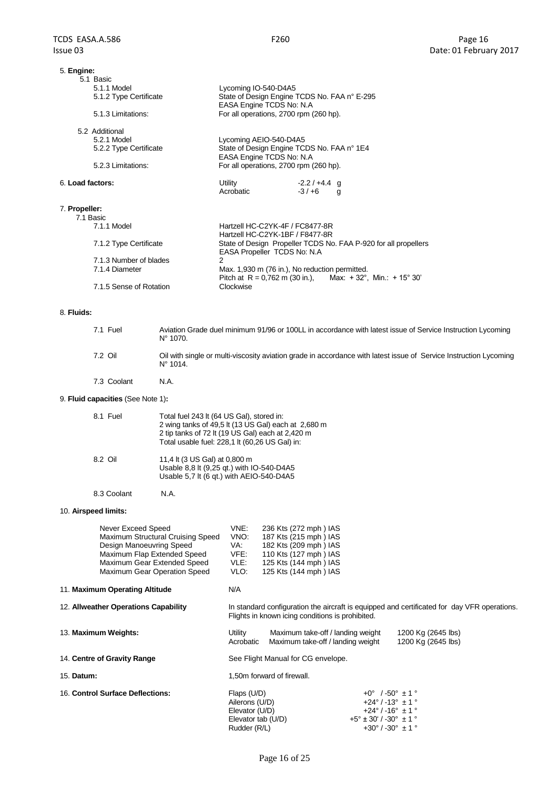| 5. Engine:<br>5.1 Basic    |                                                                                                                        |
|----------------------------|------------------------------------------------------------------------------------------------------------------------|
| 5.1.1 Model                | Lycoming IO-540-D4A5                                                                                                   |
| 5.1.2 Type Certificate     | State of Design Engine TCDS No. FAA n° E-295                                                                           |
|                            | EASA Engine TCDS No: N.A                                                                                               |
| 5.1.3 Limitations:         | For all operations, 2700 rpm (260 hp).                                                                                 |
| 5.2 Additional             |                                                                                                                        |
| 5.2.1 Model                | Lycoming AEIO-540-D4A5                                                                                                 |
| 5.2.2 Type Certificate     | State of Design Engine TCDS No. FAA n° 1E4                                                                             |
|                            | EASA Engine TCDS No: N.A                                                                                               |
| 5.2.3 Limitations:         | For all operations, 2700 rpm (260 hp).                                                                                 |
| 6. Load factors:           | Utility<br>$-2.2/+4.4$ g<br>Acrobatic<br>$-3/+6$<br>g                                                                  |
| 7. Propeller:<br>7.1 Basic |                                                                                                                        |
| 7.1.1 Model                | Hartzell HC-C2YK-4F / FC8477-8R<br>Hartzell HC-C2YK-1BF / F8477-8R                                                     |
| 7.1.2 Type Certificate     | State of Design Propeller TCDS No. FAA P-920 for all propellers<br>EASA Propeller TCDS No: N.A.                        |
| 7.1.3 Number of blades     | 2                                                                                                                      |
| 7.1.4 Diameter             | Max. 1,930 m (76 in.), No reduction permitted.                                                                         |
|                            | Pitch at R = 0.762 m (30 in.), Max: +32°, Min.: +15° 30'                                                               |
| 7.1.5 Sense of Rotation    | Clockwise                                                                                                              |
|                            |                                                                                                                        |
| 8. Fluids:                 |                                                                                                                        |
| 7.1 Fuel                   | Aviation Grade duel minimum 91/96 or 100LL in accordance with latest issue of Service Instruction Lycoming<br>N° 1070. |

7.2 Oil Oil with single or multi-viscosity aviation grade in accordance with latest issue of Service Instruction Lycoming N° 1014.

7.3 Coolant N.A.

# 9. **Fluid capacities** (See Note 1)**:**

| 8.1 Fuel | Total fuel 243 lt (64 US Gal), stored in:<br>2 wing tanks of 49,5 lt (13 US Gal) each at 2,680 m<br>2 tip tanks of 72 lt (19 US Gal) each at 2,420 m<br>Total usable fuel: 228,1 lt (60,26 US Gal) in: |
|----------|--------------------------------------------------------------------------------------------------------------------------------------------------------------------------------------------------------|
| 8.2 Oil  | 11,4 lt (3 US Gal) at 0,800 m<br>Usable 8,8 lt (9,25 qt.) with IO-540-D4A5<br>Usable 5.7 It (6 gt.) with AEIO-540-D4A5                                                                                 |

8.3 Coolant N.A.

#### 10. **Airspeed limits:**

| Never Exceed Speed                | VNE: | 236 Kts (272 mph) IAS |
|-----------------------------------|------|-----------------------|
| Maximum Structural Cruising Speed | VNO: | 187 Kts (215 mph) IAS |
| Design Manoeuvring Speed          | VA.  | 182 Kts (209 mph) IAS |
| Maximum Flap Extended Speed       | VFE: | 110 Kts (127 mph) IAS |
| Maximum Gear Extended Speed       | VLE: | 125 Kts (144 mph) IAS |
| Maximum Gear Operation Speed      | VLO: | 125 Kts (144 mph) IAS |
|                                   |      |                       |

### 11. **Maximum Operating Altitude** N/A

| 12. Allweather Operations Capability | In standard configuration the aircraft is equipped and certificated for day VFR operations. |  |
|--------------------------------------|---------------------------------------------------------------------------------------------|--|
|                                      | Flights in known icing conditions is prohibited.                                            |  |

| 13. Maximum Weights:             | Utility<br>Acrobatic                                                                  | Maximum take-off / landing weight<br>Maximum take-off / landing weight |                                                                                                                                                                                    | 1200 Kg (2645 lbs)<br>1200 Kg (2645 lbs) |
|----------------------------------|---------------------------------------------------------------------------------------|------------------------------------------------------------------------|------------------------------------------------------------------------------------------------------------------------------------------------------------------------------------|------------------------------------------|
| 14. Centre of Gravity Range      |                                                                                       | See Flight Manual for CG envelope.                                     |                                                                                                                                                                                    |                                          |
| 15. Datum:                       |                                                                                       | 1,50m forward of firewall.                                             |                                                                                                                                                                                    |                                          |
| 16. Control Surface Deflections: | Flaps (U/D)<br>Ailerons (U/D)<br>Elevator (U/D)<br>Elevator tab (U/D)<br>Rudder (R/L) |                                                                        | $+0^{\circ}$ /-50° $\pm$ 1 °<br>$+24^{\circ}$ / -13° $\pm$ 1 °<br>$+24^{\circ}$ / -16° $\pm$ 1 °<br>$+5^{\circ} \pm 30^{\circ}$ / -30° $\pm$ 1 °<br>$+30^{\circ}$ / -30° $\pm$ 1 ° |                                          |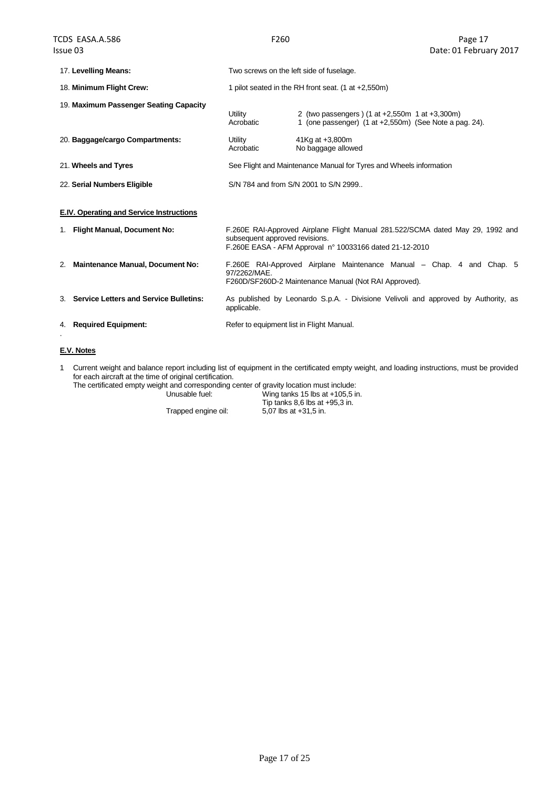|                                          | 17. Levelling Means:                      | Two screws on the left side of fuselage.                                                                                                       |                                                                                                                                           |  |  |  |
|------------------------------------------|-------------------------------------------|------------------------------------------------------------------------------------------------------------------------------------------------|-------------------------------------------------------------------------------------------------------------------------------------------|--|--|--|
|                                          | 18. Minimum Flight Crew:                  | 1 pilot seated in the RH front seat. $(1$ at $+2,550m)$                                                                                        |                                                                                                                                           |  |  |  |
| 19. Maximum Passenger Seating Capacity   |                                           | Utility<br>Acrobatic                                                                                                                           | 2 (two passengers) (1 at +2,550m 1 at +3,300m)<br>1 (one passenger) (1 at +2,550m) (See Note a pag. 24).                                  |  |  |  |
| 20. Baggage/cargo Compartments:          |                                           | Utility<br>Acrobatic                                                                                                                           | 41Kg at +3,800m<br>No baggage allowed                                                                                                     |  |  |  |
|                                          | 21. Wheels and Tyres                      |                                                                                                                                                | See Flight and Maintenance Manual for Tyres and Wheels information                                                                        |  |  |  |
| 22. Serial Numbers Eligible              |                                           | S/N 784 and from S/N 2001 to S/N 2999                                                                                                          |                                                                                                                                           |  |  |  |
| E.IV. Operating and Service Instructions |                                           |                                                                                                                                                |                                                                                                                                           |  |  |  |
|                                          | 1. Flight Manual, Document No:            | subsequent approved revisions.                                                                                                                 | F.260E RAI-Approved Airplane Flight Manual 281.522/SCMA dated May 29, 1992 and<br>F.260E EASA - AFM Approval nº 10033166 dated 21-12-2010 |  |  |  |
| 2.                                       | <b>Maintenance Manual, Document No:</b>   | F.260E RAI-Approved Airplane Maintenance Manual – Chap. 4 and Chap. 5<br>97/2262/MAE.<br>F260D/SF260D-2 Maintenance Manual (Not RAI Approved). |                                                                                                                                           |  |  |  |
|                                          | 3. Service Letters and Service Bulletins: | As published by Leonardo S.p.A. - Divisione Velivoli and approved by Authority, as<br>applicable.                                              |                                                                                                                                           |  |  |  |
| 4.                                       | <b>Required Equipment:</b>                | Refer to equipment list in Flight Manual.                                                                                                      |                                                                                                                                           |  |  |  |

### **E.V. Notes**

1 Current weight and balance report including list of equipment in the certificated empty weight, and loading instructions, must be provided for each aircraft at the time of original certification.

The certificated empty weight and corresponding center of gravity location must include:

Unusable fuel: Wing tanks 15 lbs at +105,5 in. Tip tanks  $8,6$  lbs at  $+95,3$  in. Trapped engine oil: 5,07 lbs at +31,5 in.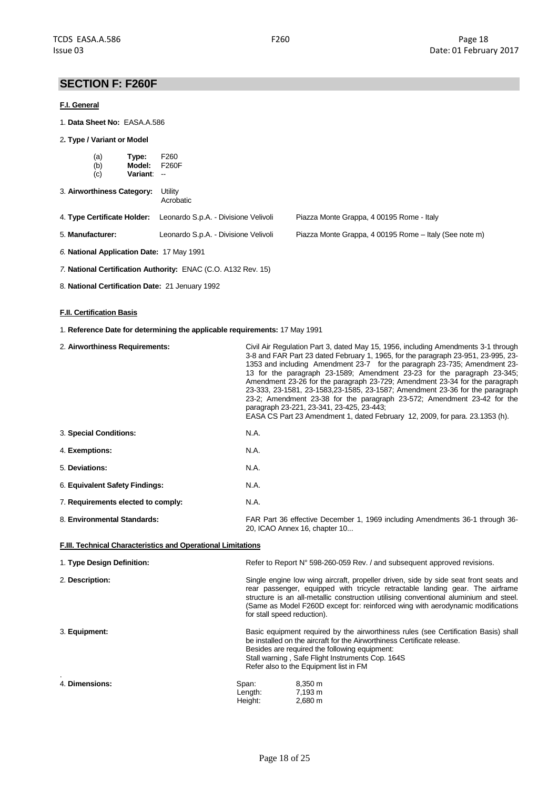# **SECTION F: F260F**

#### **F.I. General**

- 1. **Data Sheet No:** EASA.A.586
- 2**. Type / Variant or Model**

| (a)<br>Type:<br>(b)<br>Model:<br>(c)<br>Variant: -- | F260<br>F260F                                                                                  |                                           |  |  |  |
|-----------------------------------------------------|------------------------------------------------------------------------------------------------|-------------------------------------------|--|--|--|
| 3. Airworthiness Category:                          | Utility<br>Acrobatic                                                                           |                                           |  |  |  |
| 4. Type Certificate Holder:                         | Leonardo S.p.A. - Divisione Velivoli                                                           | Piazza Monte Grappa, 4 00195 Rome - Italy |  |  |  |
| 5. Manufacturer:                                    | Leonardo S.p.A. - Divisione Velivoli<br>Piazza Monte Grappa, 4 00195 Rome - Italy (See note m) |                                           |  |  |  |

- *6.* **National Application Date:** 17 May 1991
- *7.* **National Certification Authority:** ENAC (C.O. A132 Rev. 15)
- 8. **National Certification Date:** 21 Jenuary 1992

### **F.II. Certification Basis**

1. **Reference Date for determining the applicable requirements:** 17 May 1991

| 2. Airworthiness Requirements:                               |                             | Civil Air Regulation Part 3, dated May 15, 1956, including Amendments 3-1 through<br>3-8 and FAR Part 23 dated February 1, 1965, for the paragraph 23-951, 23-995, 23-<br>1353 and including Amendment 23-7 for the paragraph 23-735; Amendment 23-<br>13 for the paragraph 23-1589; Amendment 23-23 for the paragraph 23-345;<br>Amendment 23-26 for the paragraph 23-729; Amendment 23-34 for the paragraph<br>23-333, 23-1581, 23-1583, 23-1585, 23-1587; Amendment 23-36 for the paragraph<br>23-2; Amendment 23-38 for the paragraph 23-572; Amendment 23-42 for the<br>paragraph 23-221, 23-341, 23-425, 23-443;<br>EASA CS Part 23 Amendment 1, dated February 12, 2009, for para. 23.1353 (h). |  |  |  |  |
|--------------------------------------------------------------|-----------------------------|--------------------------------------------------------------------------------------------------------------------------------------------------------------------------------------------------------------------------------------------------------------------------------------------------------------------------------------------------------------------------------------------------------------------------------------------------------------------------------------------------------------------------------------------------------------------------------------------------------------------------------------------------------------------------------------------------------|--|--|--|--|
| 3. Special Conditions:                                       | N.A.                        |                                                                                                                                                                                                                                                                                                                                                                                                                                                                                                                                                                                                                                                                                                        |  |  |  |  |
| 4. Exemptions:                                               | N.A.                        |                                                                                                                                                                                                                                                                                                                                                                                                                                                                                                                                                                                                                                                                                                        |  |  |  |  |
| 5. Deviations:                                               | N.A.                        |                                                                                                                                                                                                                                                                                                                                                                                                                                                                                                                                                                                                                                                                                                        |  |  |  |  |
| 6. Equivalent Safety Findings:                               | <b>N.A.</b>                 |                                                                                                                                                                                                                                                                                                                                                                                                                                                                                                                                                                                                                                                                                                        |  |  |  |  |
| 7. Requirements elected to comply:                           | N.A.                        |                                                                                                                                                                                                                                                                                                                                                                                                                                                                                                                                                                                                                                                                                                        |  |  |  |  |
| 8. Environmental Standards:                                  |                             | FAR Part 36 effective December 1, 1969 including Amendments 36-1 through 36-<br>20, ICAO Annex 16, chapter 10                                                                                                                                                                                                                                                                                                                                                                                                                                                                                                                                                                                          |  |  |  |  |
| F.III. Technical Characteristics and Operational Limitations |                             |                                                                                                                                                                                                                                                                                                                                                                                                                                                                                                                                                                                                                                                                                                        |  |  |  |  |
| 1. Type Design Definition:                                   |                             | Refer to Report N° 598-260-059 Rev. / and subsequent approved revisions.                                                                                                                                                                                                                                                                                                                                                                                                                                                                                                                                                                                                                               |  |  |  |  |
| 2. Description:                                              | for stall speed reduction). | Single engine low wing aircraft, propeller driven, side by side seat front seats and<br>rear passenger, equipped with tricycle retractable landing gear. The airframe<br>structure is an all-metallic construction utilising conventional aluminium and steel.<br>(Same as Model F260D except for: reinforced wing with aerodynamic modifications                                                                                                                                                                                                                                                                                                                                                      |  |  |  |  |
| 3. Equipment:                                                |                             | Basic equipment required by the airworthiness rules (see Certification Basis) shall<br>be installed on the aircraft for the Airworthiness Certificate release.<br>Besides are required the following equipment:<br>Stall warning, Safe Flight Instruments Cop. 164S<br>Refer also to the Equipment list in FM                                                                                                                                                                                                                                                                                                                                                                                          |  |  |  |  |
| 4. Dimensions:                                               | Span:<br>Length:<br>Height: | 8,350 m<br>7,193 m<br>2,680 m                                                                                                                                                                                                                                                                                                                                                                                                                                                                                                                                                                                                                                                                          |  |  |  |  |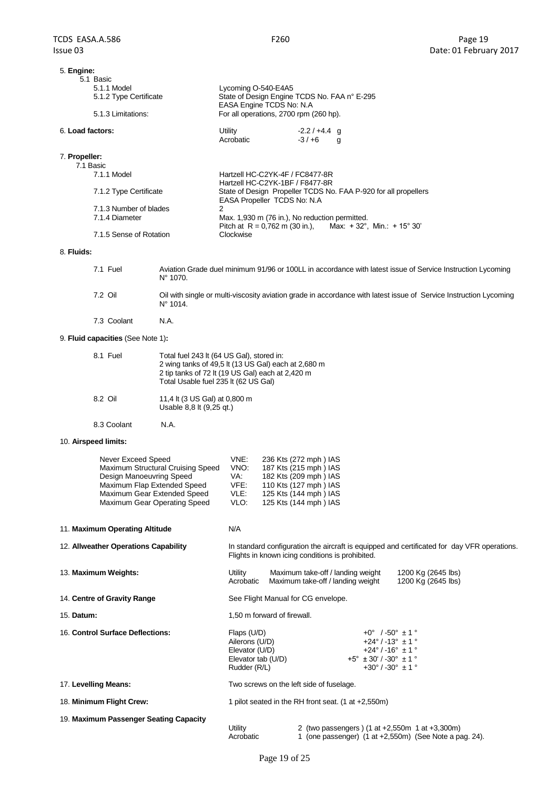# F260 Page 19 5. **Engine:** 5.1 Basic<br>5.1.1 Model Lycoming O-540-E4A5 5.1.2 Type Certificate State of Design Engine TCDS No. FAA n° E-295 EASA Engine TCDS No: N.A 5.1.3 Limitations: For all operations, 2700 rpm (260 hp). 6. **Load factors:** Utility -2.2 / +4.4 g Acrobatic -3/+6 g 7. **Propeller:** 7.1 Basic Hartzell HC-C2YK-4F / FC8477-8R Hartzell HC-C2YK-1BF / F8477-8R 7.1.2 Type Certificate State of Design Propeller TCDS No. FAA P-920 for all propellers EASA Propeller TCDS No: N.A 7.1.3 Number of blades 2 7.1.4 Diameter Max. 1,930 m (76 in.), No reduction permitted.<br>Pitch at R = 0,762 m (30 in.), Max: + 32°, Min.: + 15° 30' Pitch at  $R = 0.762$  m (30 in.),<br>Clockwise 7.1.5 Sense of Rotation 8. **Fluids:** 7.1 Fuel Aviation Grade duel minimum 91/96 or 100LL in accordance with latest issue of Service Instruction Lycoming N° 1070. 7.2 Oil Oil with single or multi-viscosity aviation grade in accordance with latest issue of Service Instruction Lycoming N° 1014. 7.3 Coolant N.A. 9. **Fluid capacities** (See Note 1)**:** 8.1 Fuel Total fuel 243 lt (64 US Gal), stored in: 2 wing tanks of 49,5 lt (13 US Gal) each at 2,680 m 2 tip tanks of 72 lt (19 US Gal) each at 2,420 m Total Usable fuel 235 lt (62 US Gal) 8.2 Oil 11,4 lt (3 US Gal) at 0,800 m Usable 8,8 lt (9,25 qt.) 8.3 Coolant N.A. 10. **Airspeed limits:** Never Exceed Speed VNE: 236 Kts (272 mph ) IAS Maximum Structural Cruising Speed VNO: 187 Kts (215 mph) IAS<br>Design Manoeuvring Speed VA: 182 Kts (209 mph) IAS Design Manoeuvring Speed VA: 182 Kts (209 mph ) IAS<br>Maximum Flap Extended Speed VFE: 110 Kts (127 mph ) IAS Maximum Flap Extended Speed VFE:<br>Maximum Gear Extended Speed VLE: Maximum Gear Extended Speed VLE: 125 Kts (144 mph) IAS Maximum Gear Operating Speed VLO: 125 Kts (144 mph) IAS 11. **Maximum Operating Altitude** N/A 12. **Allweather Operations Capability** In standard configuration the aircraft is equipped and certificated for day VFR operations. Flights in known icing conditions is prohibited. 13. **Maximum Weights:** Utility Maximum take-off / landing weight 1200 Kg (2645 lbs) Acrobatic Maximum take-off / landing weight 1200 Kg (2645 lbs) 14. **Centre of Gravity Range** See Flight Manual for CG envelope. 15. **Datum:** 1,50 m forward of firewall. 16. **Control Surface Deflections:** Flaps (U/D) +0° /-50° ± 1 ° Ailerons (U/D)  $+24^{\circ}$  / -13°  $\pm 1^{\circ}$ <br>Elevator (U/D)  $+24^{\circ}$  / -16°  $\pm 1^{\circ}$ Elevator  $\overline{(U/D)}$  +24° / -16° ± 1 °<br>Elevator tab (U/D) +5° ± 30′ / -30° ± 1 °  $+5^{\circ} \pm 30^{\circ}$  / -30 $^{\circ} \pm 1^{\circ}$

Rudder (R/L)  $+30^{\circ}$  / -30°  $\pm$  1 ° 17. **Levelling Means:** Two screws on the left side of fuselage. 18. **Minimum Flight Crew:** 1 pilot seated in the RH front seat. (1 at +2,550m) 19. **Maximum Passenger Seating Capacity** Utility 2 (two passengers ) (1 at +2,550m 1 at +3,300m) Acrobatic 1 (one passenger) (1 at +2,550m) (See Note a pag. 24).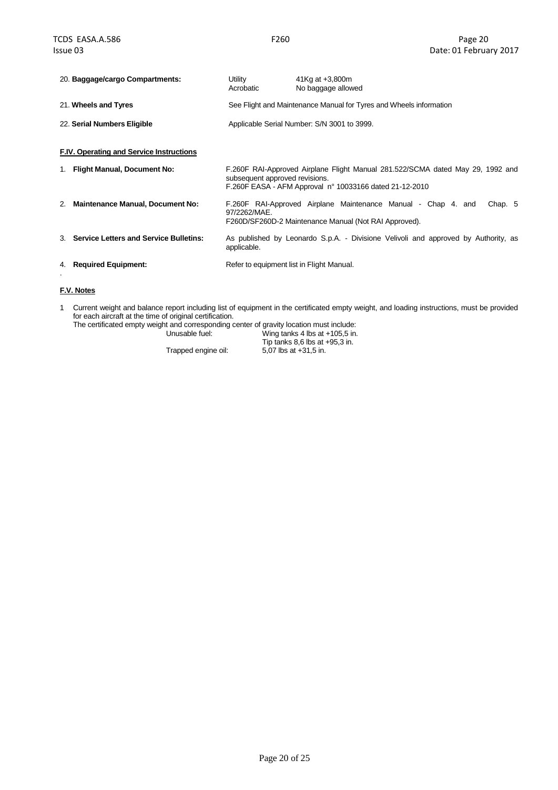|    | 20. Baggage/cargo Compartments:               | Utility<br>Acrobatic                      | 41Kg at $+3,800m$<br>No baggage allowed                                                                                                   |  |  |  |
|----|-----------------------------------------------|-------------------------------------------|-------------------------------------------------------------------------------------------------------------------------------------------|--|--|--|
|    | 21. Wheels and Tyres                          |                                           | See Flight and Maintenance Manual for Tyres and Wheels information                                                                        |  |  |  |
|    | 22. Serial Numbers Eligible                   |                                           | Applicable Serial Number: S/N 3001 to 3999.                                                                                               |  |  |  |
|    | F.IV. Operating and Service Instructions      |                                           |                                                                                                                                           |  |  |  |
| 1. | <b>Flight Manual, Document No:</b>            | subsequent approved revisions.            | F.260F RAI-Approved Airplane Flight Manual 281.522/SCMA dated May 29, 1992 and<br>F.260F EASA - AFM Approval n° 10033166 dated 21-12-2010 |  |  |  |
| 2. | <b>Maintenance Manual, Document No:</b>       | 97/2262/MAE.                              | F.260F RAI-Approved Airplane Maintenance Manual - Chap 4. and<br>Chap. 5<br>F260D/SF260D-2 Maintenance Manual (Not RAI Approved).         |  |  |  |
| 3. | <b>Service Letters and Service Bulletins:</b> | applicable.                               | As published by Leonardo S.p.A. - Divisione Velivoli and approved by Authority, as                                                        |  |  |  |
| 4. | <b>Required Equipment:</b>                    | Refer to equipment list in Flight Manual. |                                                                                                                                           |  |  |  |
|    |                                               |                                           |                                                                                                                                           |  |  |  |

### **F.V. Notes**

1 Current weight and balance report including list of equipment in the certificated empty weight, and loading instructions, must be provided for each aircraft at the time of original certification.

| The certificated empty weight and corresponding center of gravity location must include: |                                  |
|------------------------------------------------------------------------------------------|----------------------------------|
| Unusable fuel:                                                                           | Wing tanks 4 lbs at $+105.5$ in. |
|                                                                                          | Tip tanks 8.6 lbs at $+95.3$ in. |
| Trapped engine oil:                                                                      | 5.07 lbs at +31.5 in.            |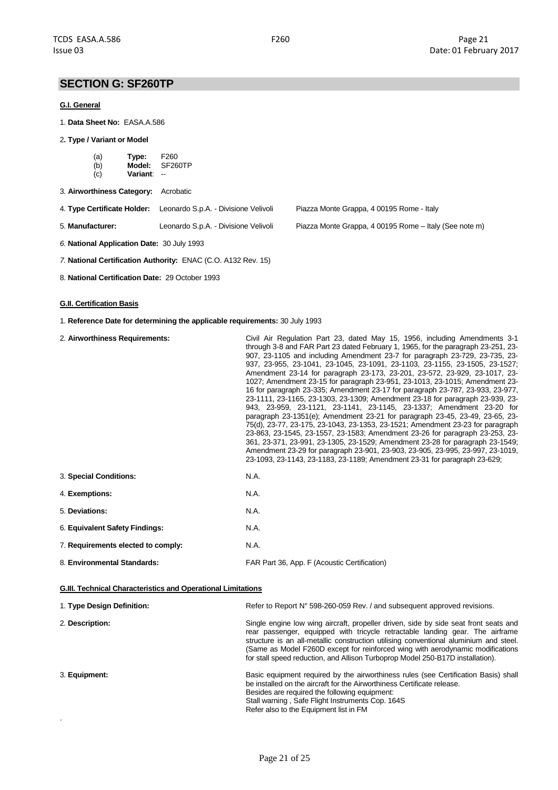# **SECTION G: SF260TP**

### **G.I. General**

1. **Data Sheet No:** EASA.A.586

#### 2**. Type / Variant or Model**

| (a) | Type:    | F <sub>260</sub> |
|-----|----------|------------------|
| (b) | Model:   | SF260TP          |
| (c) | Variant: | --               |

- 3. **Airworthiness Category:** Acrobatic
- 4. **Type Certificate Holder:** Leonardo S.p.A. Divisione Velivoli Piazza Monte Grappa, 4 00195 Rome Italy

5. **Manufacturer:** Leonardo S.p.A. - Divisione Velivoli Piazza Monte Grappa, 4 00195 Rome – Italy (See note m)

- *6.* **National Application Date:** 30 July 1993
- *7.* **National Certification Authority:** ENAC (C.O. A132 Rev. 15)
- 8. **National Certification Date:** 29 October 1993

### **G.II. Certification Basis**

.

1. **Reference Date for determining the applicable requirements:** 30 July 1993

| 2. Airworthiness Requirements:     | Civil Air Regulation Part 23, dated May 15, 1956, including Amendments 3-1<br>through 3-8 and FAR Part 23 dated February 1, 1965, for the paragraph 23-251, 23-<br>907, 23-1105 and including Amendment 23-7 for paragraph 23-729, 23-735, 23-<br>937, 23-955, 23-1041, 23-1045, 23-1091, 23-1103, 23-1155, 23-1505, 23-1527;<br>Amendment 23-14 for paragraph 23-173, 23-201, 23-572, 23-929, 23-1017, 23-<br>1027; Amendment 23-15 for paragraph 23-951, 23-1013, 23-1015; Amendment 23-<br>16 for paragraph 23-335; Amendment 23-17 for paragraph 23-787, 23-933, 23-977,<br>23-1111, 23-1165, 23-1303, 23-1309; Amendment 23-18 for paragraph 23-939, 23-<br>943, 23-959, 23-1121, 23-1141, 23-1145, 23-1337; Amendment 23-20 for<br>paragraph 23-1351(e); Amendment 23-21 for paragraph 23-45, 23-49, 23-65, 23-<br>75(d), 23-77, 23-175, 23-1043, 23-1353, 23-1521; Amendment 23-23 for paragraph<br>23-863, 23-1545, 23-1557, 23-1583; Amendment 23-26 for paragraph 23-253, 23-<br>361, 23-371, 23-991, 23-1305, 23-1529; Amendment 23-28 for paragraph 23-1549;<br>Amendment 23-29 for paragraph 23-901, 23-903, 23-905, 23-995, 23-997, 23-1019,<br>23-1093, 23-1143, 23-1183, 23-1189; Amendment 23-31 for paragraph 23-629; |  |  |  |  |
|------------------------------------|-----------------------------------------------------------------------------------------------------------------------------------------------------------------------------------------------------------------------------------------------------------------------------------------------------------------------------------------------------------------------------------------------------------------------------------------------------------------------------------------------------------------------------------------------------------------------------------------------------------------------------------------------------------------------------------------------------------------------------------------------------------------------------------------------------------------------------------------------------------------------------------------------------------------------------------------------------------------------------------------------------------------------------------------------------------------------------------------------------------------------------------------------------------------------------------------------------------------------------------------|--|--|--|--|
| 3. Special Conditions:             | N.A.                                                                                                                                                                                                                                                                                                                                                                                                                                                                                                                                                                                                                                                                                                                                                                                                                                                                                                                                                                                                                                                                                                                                                                                                                                    |  |  |  |  |
| 4. Exemptions:                     | N.A.                                                                                                                                                                                                                                                                                                                                                                                                                                                                                                                                                                                                                                                                                                                                                                                                                                                                                                                                                                                                                                                                                                                                                                                                                                    |  |  |  |  |
| 5. Deviations:                     | N.A.                                                                                                                                                                                                                                                                                                                                                                                                                                                                                                                                                                                                                                                                                                                                                                                                                                                                                                                                                                                                                                                                                                                                                                                                                                    |  |  |  |  |
| 6. Equivalent Safety Findings:     | N.A.                                                                                                                                                                                                                                                                                                                                                                                                                                                                                                                                                                                                                                                                                                                                                                                                                                                                                                                                                                                                                                                                                                                                                                                                                                    |  |  |  |  |
| 7. Requirements elected to comply: | N.A.                                                                                                                                                                                                                                                                                                                                                                                                                                                                                                                                                                                                                                                                                                                                                                                                                                                                                                                                                                                                                                                                                                                                                                                                                                    |  |  |  |  |
| 8. Environmental Standards:        | FAR Part 36, App. F (Acoustic Certification)                                                                                                                                                                                                                                                                                                                                                                                                                                                                                                                                                                                                                                                                                                                                                                                                                                                                                                                                                                                                                                                                                                                                                                                            |  |  |  |  |

| <b>G.III. Technical Characteristics and Operational Limitations</b> |                                                                                                                                                                                                                                                                                                                                                                                                                                    |  |  |  |  |
|---------------------------------------------------------------------|------------------------------------------------------------------------------------------------------------------------------------------------------------------------------------------------------------------------------------------------------------------------------------------------------------------------------------------------------------------------------------------------------------------------------------|--|--|--|--|
| 1. Type Design Definition:                                          | Refer to Report N° 598-260-059 Rev. / and subsequent approved revisions.                                                                                                                                                                                                                                                                                                                                                           |  |  |  |  |
| 2. Description:                                                     | Single engine low wing aircraft, propeller driven, side by side seat front seats and<br>rear passenger, equipped with tricycle retractable landing gear. The airframe<br>structure is an all-metallic construction utilising conventional aluminium and steel.<br>(Same as Model F260D except for reinforced wing with aerodynamic modifications<br>for stall speed reduction, and Allison Turboprop Model 250-B17D installation). |  |  |  |  |
| 3. Equipment:                                                       | Basic equipment required by the airworthiness rules (see Certification Basis) shall<br>be installed on the aircraft for the Airworthiness Certificate release.<br>Besides are required the following equipment:<br>Stall warning, Safe Flight Instruments Cop. 164S<br>Refer also to the Equipment list in FM                                                                                                                      |  |  |  |  |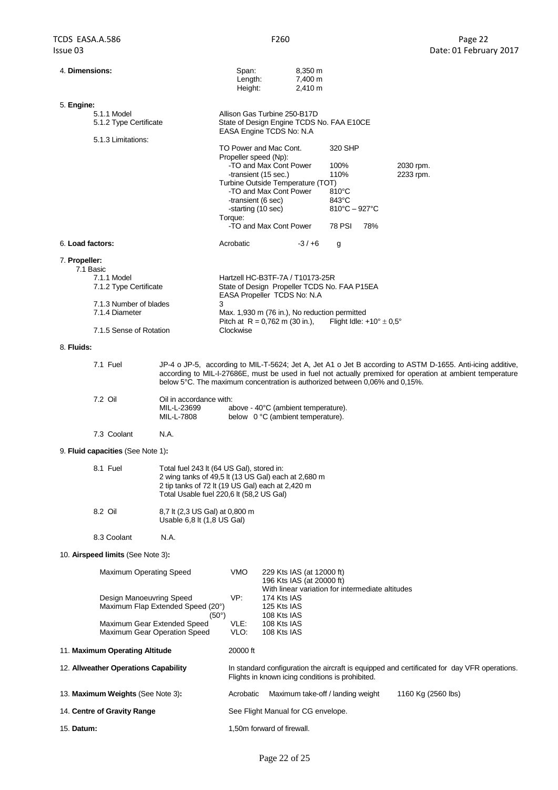| 4. Dimensions:                           |                                                                                                                                                                                                                                                                                                         | Span:<br>Length:<br>Height: |                                                                                                       | 8,350 m<br>7,400 m<br>2,410 m |                                    |                                            |                    |                                                                                             |
|------------------------------------------|---------------------------------------------------------------------------------------------------------------------------------------------------------------------------------------------------------------------------------------------------------------------------------------------------------|-----------------------------|-------------------------------------------------------------------------------------------------------|-------------------------------|------------------------------------|--------------------------------------------|--------------------|---------------------------------------------------------------------------------------------|
| 5. Engine:                               |                                                                                                                                                                                                                                                                                                         |                             |                                                                                                       |                               |                                    |                                            |                    |                                                                                             |
| 5.1.1 Model<br>5.1.2 Type Certificate    |                                                                                                                                                                                                                                                                                                         |                             | Allison Gas Turbine 250-B17D<br>State of Design Engine TCDS No. FAA E10CE<br>EASA Engine TCDS No: N.A |                               |                                    |                                            |                    |                                                                                             |
| 5.1.3 Limitations:                       |                                                                                                                                                                                                                                                                                                         |                             |                                                                                                       |                               |                                    |                                            |                    |                                                                                             |
|                                          |                                                                                                                                                                                                                                                                                                         | Propeller speed (Np):       | TO Power and Mac Cont.                                                                                |                               | 320 SHP                            |                                            |                    |                                                                                             |
|                                          |                                                                                                                                                                                                                                                                                                         |                             | -TO and Max Cont Power                                                                                |                               | 100%                               |                                            | 2030 rpm.          |                                                                                             |
|                                          |                                                                                                                                                                                                                                                                                                         |                             | -transient (15 sec.)<br>Turbine Outside Temperature (TOT)                                             |                               | 110%                               |                                            | 2233 rpm.          |                                                                                             |
|                                          |                                                                                                                                                                                                                                                                                                         | -transient (6 sec)          | -TO and Max Cont Power                                                                                |                               | $810^{\circ}$ C<br>$843^{\circ}$ C |                                            |                    |                                                                                             |
|                                          |                                                                                                                                                                                                                                                                                                         | -starting (10 sec)          |                                                                                                       |                               | $810^{\circ}$ C – 927 $^{\circ}$ C |                                            |                    |                                                                                             |
|                                          |                                                                                                                                                                                                                                                                                                         | Torque:                     | -TO and Max Cont Power                                                                                |                               | <b>78 PSI</b>                      | 78%                                        |                    |                                                                                             |
| 6. Load factors:                         |                                                                                                                                                                                                                                                                                                         | Acrobatic                   |                                                                                                       | $-3/+6$                       | g                                  |                                            |                    |                                                                                             |
| 7. Propeller:                            |                                                                                                                                                                                                                                                                                                         |                             |                                                                                                       |                               |                                    |                                            |                    |                                                                                             |
| 7.1 Basic<br>7.1.1 Model                 |                                                                                                                                                                                                                                                                                                         |                             | Hartzell HC-B3TF-7A / T10173-25R                                                                      |                               |                                    |                                            |                    |                                                                                             |
| 7.1.2 Type Certificate                   |                                                                                                                                                                                                                                                                                                         |                             | State of Design Propeller TCDS No. FAA P15EA<br>EASA Propeller TCDS No: N.A                           |                               |                                    |                                            |                    |                                                                                             |
| 7.1.3 Number of blades<br>7.1.4 Diameter | 3                                                                                                                                                                                                                                                                                                       |                             | Max. 1,930 m (76 in.), No reduction permitted                                                         |                               |                                    |                                            |                    |                                                                                             |
|                                          |                                                                                                                                                                                                                                                                                                         |                             | Pitch at $R = 0.762$ m (30 in.),                                                                      |                               |                                    | Flight Idle: $+10^{\circ} \pm 0.5^{\circ}$ |                    |                                                                                             |
| 7.1.5 Sense of Rotation                  |                                                                                                                                                                                                                                                                                                         | Clockwise                   |                                                                                                       |                               |                                    |                                            |                    |                                                                                             |
| 8. Fluids:                               |                                                                                                                                                                                                                                                                                                         |                             |                                                                                                       |                               |                                    |                                            |                    |                                                                                             |
| 7.1 Fuel                                 | JP-4 o JP-5, according to MIL-T-5624; Jet A, Jet A1 o Jet B according to ASTM D-1655. Anti-icing additive,<br>according to MIL-I-27686E, must be used in fuel not actually premixed for operation at ambient temperature<br>below 5°C. The maximum concentration is authorized between 0,06% and 0,15%. |                             |                                                                                                       |                               |                                    |                                            |                    |                                                                                             |
| 7.2 Oil                                  | Oil in accordance with:                                                                                                                                                                                                                                                                                 |                             |                                                                                                       |                               |                                    |                                            |                    |                                                                                             |
|                                          | MIL-L-23699<br>MIL-L-7808                                                                                                                                                                                                                                                                               |                             | above - 40°C (ambient temperature).<br>below 0 °C (ambient temperature).                              |                               |                                    |                                            |                    |                                                                                             |
| 7.3 Coolant                              | N.A.                                                                                                                                                                                                                                                                                                    |                             |                                                                                                       |                               |                                    |                                            |                    |                                                                                             |
| 9. Fluid capacities (See Note 1):        |                                                                                                                                                                                                                                                                                                         |                             |                                                                                                       |                               |                                    |                                            |                    |                                                                                             |
| 8.1 Fuel                                 | Total fuel 243 lt (64 US Gal), stored in:                                                                                                                                                                                                                                                               |                             |                                                                                                       |                               |                                    |                                            |                    |                                                                                             |
|                                          | 2 wing tanks of 49,5 lt (13 US Gal) each at 2,680 m<br>2 tip tanks of 72 lt (19 US Gal) each at 2,420 m                                                                                                                                                                                                 |                             |                                                                                                       |                               |                                    |                                            |                    |                                                                                             |
|                                          | Total Usable fuel 220,6 lt (58,2 US Gal)                                                                                                                                                                                                                                                                |                             |                                                                                                       |                               |                                    |                                            |                    |                                                                                             |
| 8.2 Oil                                  | 8,7 lt (2,3 US Gal) at 0,800 m                                                                                                                                                                                                                                                                          |                             |                                                                                                       |                               |                                    |                                            |                    |                                                                                             |
|                                          | Usable 6,8 lt (1,8 US Gal)                                                                                                                                                                                                                                                                              |                             |                                                                                                       |                               |                                    |                                            |                    |                                                                                             |
| 8.3 Coolant                              | N.A.                                                                                                                                                                                                                                                                                                    |                             |                                                                                                       |                               |                                    |                                            |                    |                                                                                             |
| 10. Airspeed limits (See Note 3):        |                                                                                                                                                                                                                                                                                                         |                             |                                                                                                       |                               |                                    |                                            |                    |                                                                                             |
| Maximum Operating Speed                  |                                                                                                                                                                                                                                                                                                         | <b>VMO</b>                  | 229 Kts IAS (at 12000 ft)                                                                             |                               |                                    |                                            |                    |                                                                                             |
|                                          |                                                                                                                                                                                                                                                                                                         |                             | 196 Kts IAS (at 20000 ft)<br>With linear variation for intermediate altitudes                         |                               |                                    |                                            |                    |                                                                                             |
| Design Manoeuvring Speed                 | Maximum Flap Extended Speed (20°)                                                                                                                                                                                                                                                                       | VP:                         | 174 Kts IAS<br>125 Kts IAS                                                                            |                               |                                    |                                            |                    |                                                                                             |
|                                          | $(50^{\circ})$                                                                                                                                                                                                                                                                                          |                             | 108 Kts IAS                                                                                           |                               |                                    |                                            |                    |                                                                                             |
|                                          | Maximum Gear Extended Speed<br>Maximum Gear Operation Speed                                                                                                                                                                                                                                             | VLE:<br>VLO:                | 108 Kts IAS<br>108 Kts IAS                                                                            |                               |                                    |                                            |                    |                                                                                             |
| 11. Maximum Operating Altitude           |                                                                                                                                                                                                                                                                                                         | 20000 ft                    |                                                                                                       |                               |                                    |                                            |                    |                                                                                             |
| 12. Allweather Operations Capability     |                                                                                                                                                                                                                                                                                                         |                             | Flights in known icing conditions is prohibited.                                                      |                               |                                    |                                            |                    | In standard configuration the aircraft is equipped and certificated for day VFR operations. |
| 13. Maximum Weights (See Note 3):        |                                                                                                                                                                                                                                                                                                         | Acrobatic                   | Maximum take-off / landing weight                                                                     |                               |                                    |                                            | 1160 Kg (2560 lbs) |                                                                                             |
| 14. Centre of Gravity Range              |                                                                                                                                                                                                                                                                                                         |                             | See Flight Manual for CG envelope.                                                                    |                               |                                    |                                            |                    |                                                                                             |
| 15. Datum:                               |                                                                                                                                                                                                                                                                                                         |                             | 1,50m forward of firewall.                                                                            |                               |                                    |                                            |                    |                                                                                             |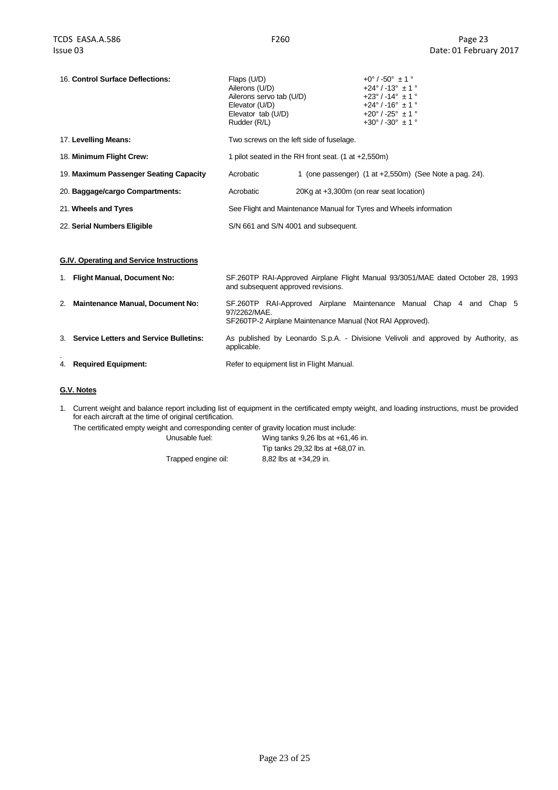| 16. Control Surface Deflections:         | Flaps (U/D)<br>Ailerons (U/D)<br>Ailerons servo tab (U/D)<br>Elevator (U/D)<br>Elevator tab (U/D)<br>Rudder (R/L) |                                                     | $+0^{\circ}$ / -50° $\pm$ 1 °<br>$+24^{\circ}$ / -13° $\pm$ 1 °<br>$+23^{\circ}$ / -14° $\pm$ 1 °<br>$+24^{\circ}$ / -16° $\pm$ 1 °<br>$+20^{\circ}$ / -25° $\pm$ 1 °<br>$+30^{\circ}$ / -30° $\pm$ 1 ° |
|------------------------------------------|-------------------------------------------------------------------------------------------------------------------|-----------------------------------------------------|---------------------------------------------------------------------------------------------------------------------------------------------------------------------------------------------------------|
| 17. Levelling Means:                     | Two screws on the left side of fuselage.                                                                          |                                                     |                                                                                                                                                                                                         |
| 18. Minimum Flight Crew:                 |                                                                                                                   | 1 pilot seated in the RH front seat. (1 at +2,550m) |                                                                                                                                                                                                         |
| 19. Maximum Passenger Seating Capacity   | Acrobatic                                                                                                         |                                                     | 1 (one passenger) $(1$ at $+2,550$ m) (See Note a pag. 24).                                                                                                                                             |
| 20. Baggage/cargo Compartments:          | Acrobatic                                                                                                         |                                                     | 20Kg at +3,300m (on rear seat location)                                                                                                                                                                 |
| 21. Wheels and Tyres                     |                                                                                                                   |                                                     | See Flight and Maintenance Manual for Tyres and Wheels information                                                                                                                                      |
| 22. Serial Numbers Eligible              | S/N 661 and S/N 4001 and subsequent.                                                                              |                                                     |                                                                                                                                                                                                         |
|                                          |                                                                                                                   |                                                     |                                                                                                                                                                                                         |
| G.IV. Operating and Service Instructions |                                                                                                                   |                                                     |                                                                                                                                                                                                         |

| 1. Flight Manual, Document No:            | SF.260TP RAI-Approved Airplane Flight Manual 93/3051/MAE dated October 28, 1993<br>and subsequent approved revisions.                               |  |  |
|-------------------------------------------|-----------------------------------------------------------------------------------------------------------------------------------------------------|--|--|
| 2. Maintenance Manual, Document No:       | SF.260TP RAI-Approved Airplane Maintenance Manual Chap 4<br>and Chap 5<br>97/2262/MAE.<br>SF260TP-2 Airplane Maintenance Manual (Not RAI Approved). |  |  |
| 3. Service Letters and Service Bulletins: | As published by Leonardo S.p.A. - Divisione Velivoli and approved by Authority, as<br>applicable.                                                   |  |  |
| 4. Required Equipment:                    | Refer to equipment list in Flight Manual.                                                                                                           |  |  |

## **G.V. Notes**

1. Current weight and balance report including list of equipment in the certificated empty weight, and loading instructions, must be provided for each aircraft at the time of original certification.

The certificated empty weight and corresponding center of gravity location must include:

Unusable fuel: Wing tanks 9,26 lbs at +61,46 in.

Tip tanks 29,32 lbs at +68,07 in. Trapped engine oil: 8,82 lbs at +34,29 in.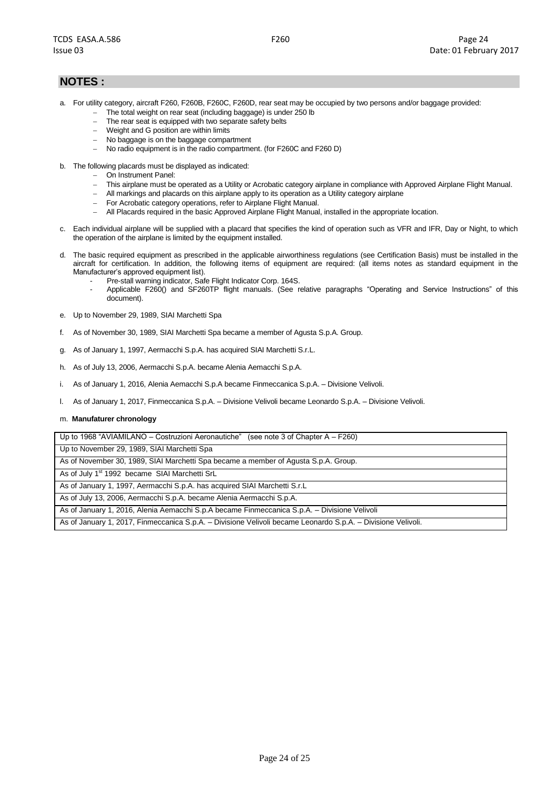# **NOTES :**

- a. For utility category, aircraft F260, F260B, F260C, F260D, rear seat may be occupied by two persons and/or baggage provided:
	- The total weight on rear seat (including baggage) is under 250 lb
		- The rear seat is equipped with two separate safety belts
	- Weight and G position are within limits
	- No baggage is on the baggage compartment
	- No radio equipment is in the radio compartment. (for F260C and F260 D)
- b. The following placards must be displayed as indicated:
	- On Instrument Panel:
	- This airplane must be operated as a Utility or Acrobatic category airplane in compliance with Approved Airplane Flight Manual.
	- All markings and placards on this airplane apply to its operation as a Utility category airplane
	- For Acrobatic category operations, refer to Airplane Flight Manual.
	- All Placards required in the basic Approved Airplane Flight Manual, installed in the appropriate location.
- c. Each individual airplane will be supplied with a placard that specifies the kind of operation such as VFR and IFR, Day or Night, to which the operation of the airplane is limited by the equipment installed.
- d. The basic required equipment as prescribed in the applicable airworthiness regulations (see Certification Basis) must be installed in the aircraft for certification. In addition, the following items of equipment are required: (all items notes as standard equipment in the Manufacturer's approved equipment list).
	- Pre-stall warning indicator, Safe Flight Indicator Corp. 164S.
	- Applicable F260() and SF260TP flight manuals. (See relative paragraphs "Operating and Service Instructions" of this document).
- e. Up to November 29, 1989, SIAI Marchetti Spa
- f. As of November 30, 1989, SIAI Marchetti Spa became a member of Agusta S.p.A. Group.
- g. As of January 1, 1997, Aermacchi S.p.A. has acquired SIAI Marchetti S.r.L.
- h. As of July 13, 2006, Aermacchi S.p.A. became Alenia Aemacchi S.p.A.
- i. As of January 1, 2016, Alenia Aemacchi S.p.A became Finmeccanica S.p.A. Divisione Velivoli.
- l. As of January 1, 2017, Finmeccanica S.p.A. Divisione Velivoli became Leonardo S.p.A. Divisione Velivoli.

#### m. **Manufaturer chronology**

Up to 1968 "AVIAMILANO – Costruzioni Aeronautiche" (see note 3 of Chapter A – F260)

Up to November 29, 1989, SIAI Marchetti Spa

As of November 30, 1989, SIAI Marchetti Spa became a member of Agusta S.p.A. Group.

As of July 1st 1992 became SIAI Marchetti SrL

As of January 1, 1997, Aermacchi S.p.A. has acquired SIAI Marchetti S.r.L

As of July 13, 2006, Aermacchi S.p.A. became Alenia Aermacchi S.p.A.

As of January 1, 2016, Alenia Aemacchi S.p.A became Finmeccanica S.p.A. – Divisione Velivoli

As of January 1, 2017, Finmeccanica S.p.A. – Divisione Velivoli became Leonardo S.p.A. – Divisione Velivoli.